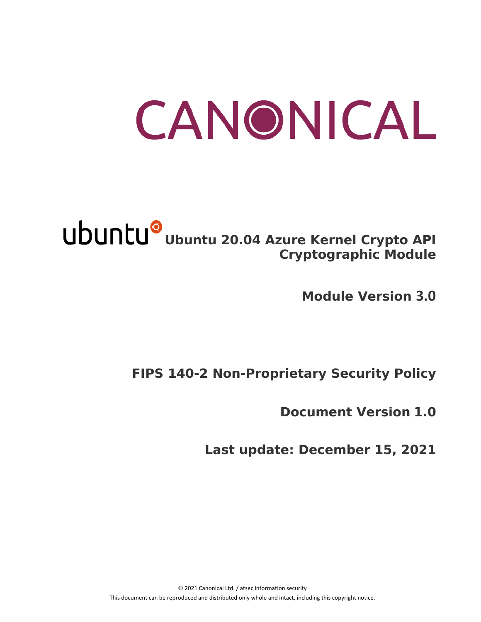# CANONICAL

# **Ubuntu 20.04 Azure Kernel Crypto API Cryptographic Module**

**Module Version 3.0**

# **FIPS 140-2 Non-Proprietary Security Policy**

**Document Version 1.0**

**Last update: December 15, 2021**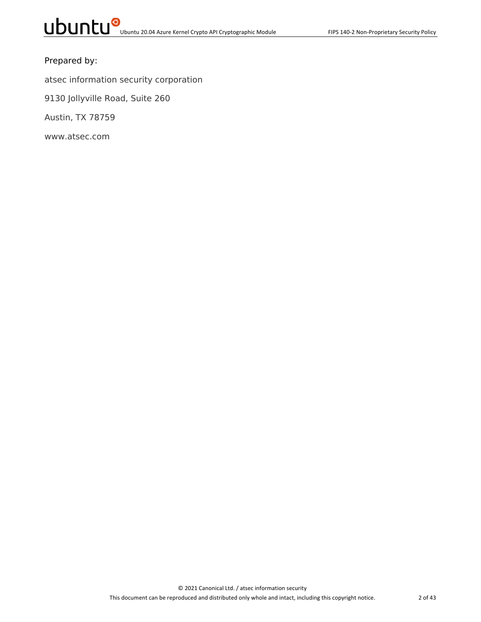#### Prepared by:

atsec information security corporation

9130 Jollyville Road, Suite 260

Austin, TX 78759

www.atsec.com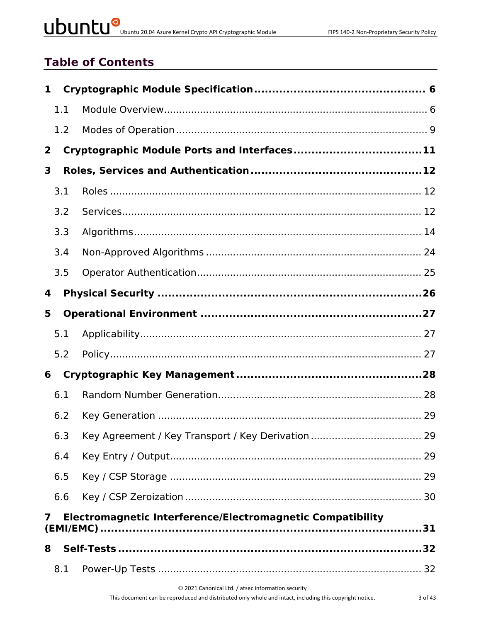# UDUNCU<sup>O</sup> Ubuntu 20.04 Azure Kernel Crypto API Cryptographic Module

# **Table of Contents**

| $\mathbf{1}$   |                                                            |                                             |  |  |  |  |
|----------------|------------------------------------------------------------|---------------------------------------------|--|--|--|--|
|                | 1.1                                                        |                                             |  |  |  |  |
|                | 1.2                                                        |                                             |  |  |  |  |
| $\overline{2}$ |                                                            | Cryptographic Module Ports and Interfaces11 |  |  |  |  |
| 3              |                                                            |                                             |  |  |  |  |
|                | 3.1                                                        |                                             |  |  |  |  |
|                | 3.2                                                        |                                             |  |  |  |  |
|                | 3.3                                                        |                                             |  |  |  |  |
|                | 3.4                                                        |                                             |  |  |  |  |
|                | 3.5                                                        |                                             |  |  |  |  |
| 4              |                                                            |                                             |  |  |  |  |
| 5              |                                                            |                                             |  |  |  |  |
|                | 5.1                                                        |                                             |  |  |  |  |
|                | 5.2                                                        |                                             |  |  |  |  |
| 6              |                                                            |                                             |  |  |  |  |
|                | 6.1                                                        |                                             |  |  |  |  |
|                | 6.2                                                        |                                             |  |  |  |  |
|                | 6.3                                                        |                                             |  |  |  |  |
|                | 6.4                                                        |                                             |  |  |  |  |
|                | 6.5                                                        |                                             |  |  |  |  |
|                | 6.6                                                        |                                             |  |  |  |  |
| 7              | Electromagnetic Interference/Electromagnetic Compatibility |                                             |  |  |  |  |
| 8              |                                                            |                                             |  |  |  |  |
|                | 8.1                                                        |                                             |  |  |  |  |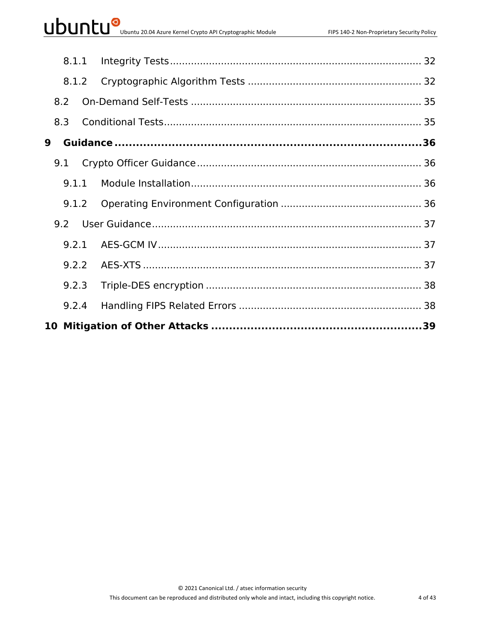|     | 8.1.1 |  |  |
|-----|-------|--|--|
|     | 8.1.2 |  |  |
| 8.2 |       |  |  |
| 8.3 |       |  |  |
| 9   |       |  |  |
| 9.1 |       |  |  |
|     |       |  |  |
|     | 9.1.2 |  |  |
|     |       |  |  |
|     | 9.2.1 |  |  |
|     | 9.2.2 |  |  |
|     | 9.2.3 |  |  |
|     | 9.2.4 |  |  |
|     |       |  |  |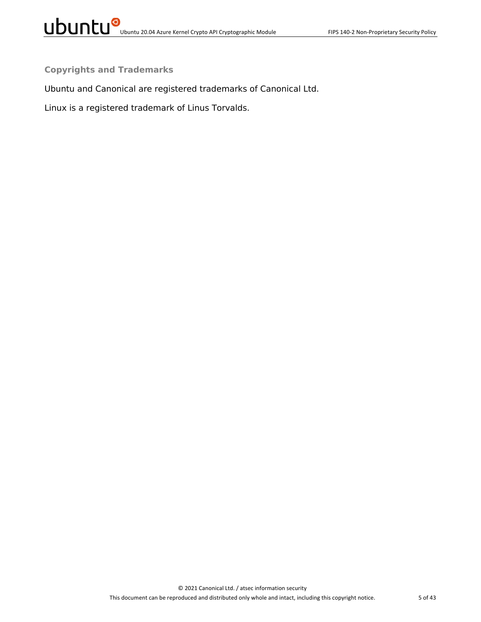**Copyrights and Trademarks**

Ubuntu and Canonical are registered trademarks of Canonical Ltd.

Linux is a registered trademark of Linus Torvalds.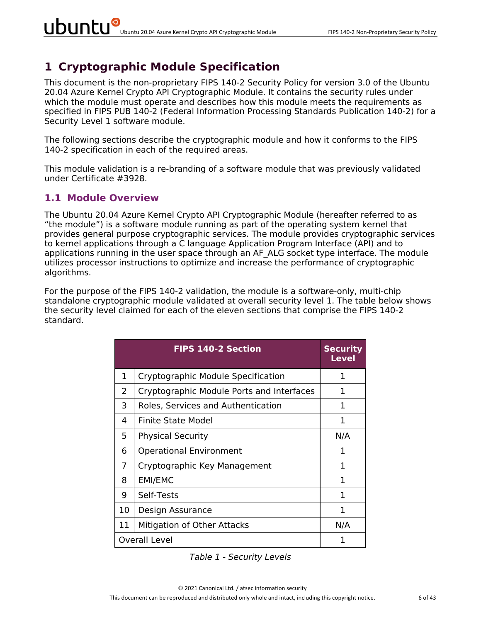## **1 Cryptographic Module Specification**

This document is the non-proprietary FIPS 140-2 Security Policy for version 3.0 of the Ubuntu 20.04 Azure Kernel Crypto API Cryptographic Module. It contains the security rules under which the module must operate and describes how this module meets the requirements as specified in FIPS PUB 140-2 (Federal Information Processing Standards Publication 140-2) for a Security Level 1 software module.

The following sections describe the cryptographic module and how it conforms to the FIPS 140-2 specification in each of the required areas.

This module validation is a re-branding of a software module that was previously validated under Certificate #3928.

#### **1.1 Module Overview**

The Ubuntu 20.04 Azure Kernel Crypto API Cryptographic Module (hereafter referred to as "the module") is a software module running as part of the operating system kernel that provides general purpose cryptographic services. The module provides cryptographic services to kernel applications through a C language Application Program Interface (API) and to applications running in the user space through an AF ALG socket type interface. The module utilizes processor instructions to optimize and increase the performance of cryptographic algorithms.

For the purpose of the FIPS 140-2 validation, the module is a software-only, multi-chip standalone cryptographic module validated at overall security level 1. The table below shows the security level claimed for each of the eleven sections that comprise the FIPS 140-2 standard.

|    | <b>FIPS 140-2 Section</b>                 | <b>Security</b><br>Level |
|----|-------------------------------------------|--------------------------|
| 1  | Cryptographic Module Specification        | 1                        |
| 2  | Cryptographic Module Ports and Interfaces | 1                        |
| 3  | Roles, Services and Authentication        | 1                        |
| 4  | Finite State Model                        | 1                        |
| 5  | <b>Physical Security</b>                  | N/A                      |
| 6  | <b>Operational Environment</b>            | 1                        |
| 7  | Cryptographic Key Management              | 1                        |
| 8  | <b>EMI/EMC</b>                            | 1                        |
| 9  | Self-Tests                                | 1                        |
| 10 | Design Assurance                          | 1                        |
| 11 | Mitigation of Other Attacks               | N/A                      |
|    | <b>Overall Level</b>                      | 1                        |

*Table 1 - Security Levels*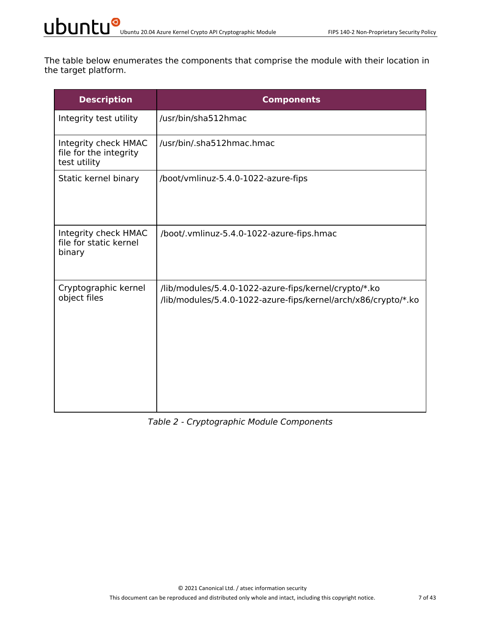The table below enumerates the components that comprise the module with their location in the target platform.

| <b>Description</b>                                             | <b>Components</b>                                                                                                       |
|----------------------------------------------------------------|-------------------------------------------------------------------------------------------------------------------------|
| Integrity test utility                                         | /usr/bin/sha512hmac                                                                                                     |
| Integrity check HMAC<br>file for the integrity<br>test utility | /usr/bin/.sha512hmac.hmac                                                                                               |
| Static kernel binary                                           | /boot/vmlinuz-5.4.0-1022-azure-fips                                                                                     |
| Integrity check HMAC<br>file for static kernel<br>binary       | /boot/.vmlinuz-5.4.0-1022-azure-fips.hmac                                                                               |
| Cryptographic kernel<br>object files                           | /lib/modules/5.4.0-1022-azure-fips/kernel/crypto/*.ko<br>/lib/modules/5.4.0-1022-azure-fips/kernel/arch/x86/crypto/*.ko |

#### *Table 2 - Cryptographic Module Components*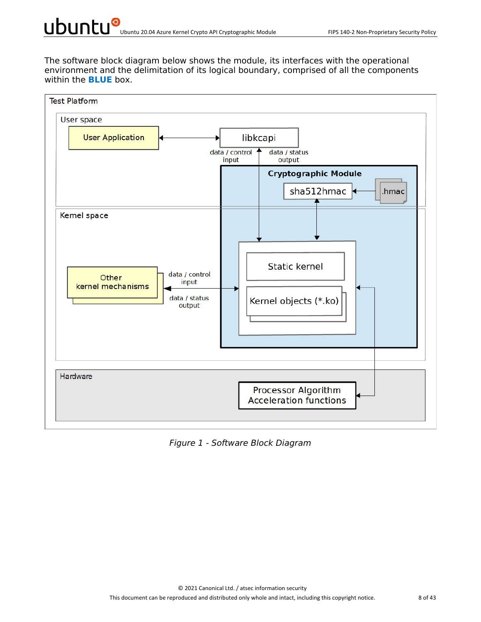The software block diagram below shows the module, its interfaces with the operational environment and the delimitation of its logical boundary, comprised of all the components within the **BLUE** box.



*Figure 1 - Software Block Diagram*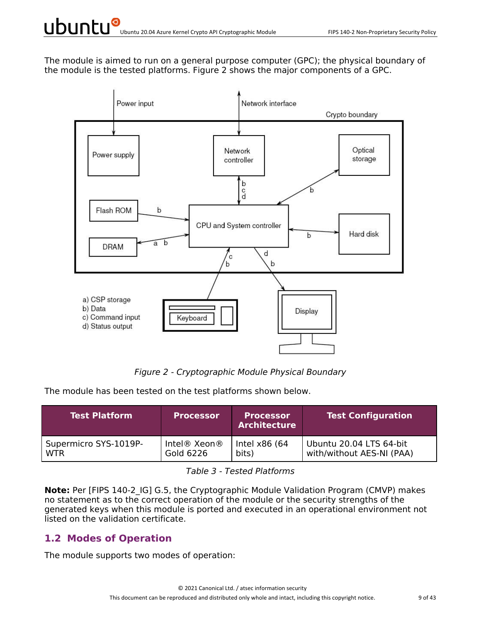The module is aimed to run on a general purpose computer (GPC); the physical boundary of the module is the tested platforms. Figure 2 shows the major components of a GPC.



*Figure 2 - Cryptographic Module Physical Boundary*

The module has been tested on the test platforms shown below.

| <b>Test Platform</b>  | <b>Processor</b> | <b>Processor</b><br><b>Architecture</b> | <b>Test Configuration</b> |
|-----------------------|------------------|-----------------------------------------|---------------------------|
| Supermicro SYS-1019P- | Intel® Xeon®     | Intel x86 (64                           | Ubuntu 20.04 LTS 64-bit   |
| <b>WTR</b>            | Gold 6226        | bits)                                   | with/without AES-NI (PAA) |

*Table 3 - Tested Platforms*

**Note:** Per [FIPS 140-2 IG] G.5, the Cryptographic Module Validation Program (CMVP) makes no statement as to the correct operation of the module or the security strengths of the generated keys when this module is ported and executed in an operational environment not listed on the validation certificate.

#### **1.2 Modes of Operation**

The module supports two modes of operation: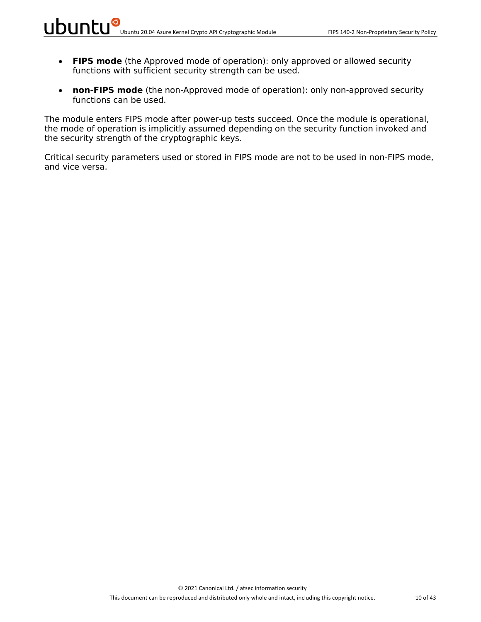- **FIPS mode** (the Approved mode of operation): only approved or allowed security functions with sufficient security strength can be used.
- **non-FIPS mode** (the non-Approved mode of operation): only non-approved security functions can be used.

The module enters FIPS mode after power-up tests succeed. Once the module is operational, the mode of operation is implicitly assumed depending on the security function invoked and the security strength of the cryptographic keys.

Critical security parameters used or stored in FIPS mode are not to be used in non-FIPS mode, and vice versa.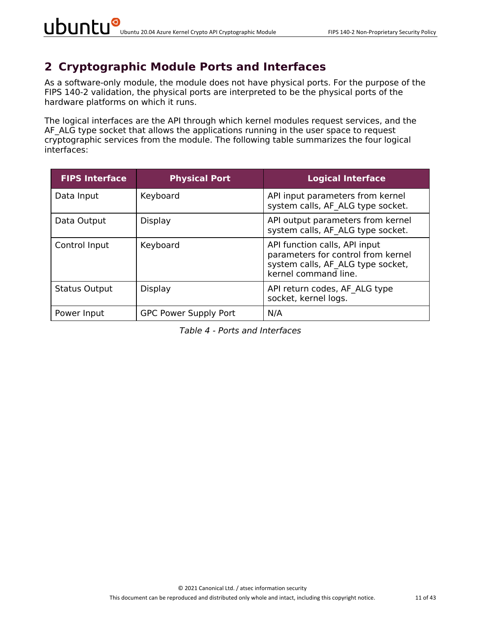### **2 Cryptographic Module Ports and Interfaces**

As a software-only module, the module does not have physical ports. For the purpose of the FIPS 140-2 validation, the physical ports are interpreted to be the physical ports of the hardware platforms on which it runs.

The logical interfaces are the API through which kernel modules request services, and the AF ALG type socket that allows the applications running in the user space to request cryptographic services from the module. The following table summarizes the four logical interfaces:

| <b>FIPS Interface</b> | <b>Physical Port</b>         | <b>Logical Interface</b>                                                                                                         |
|-----------------------|------------------------------|----------------------------------------------------------------------------------------------------------------------------------|
| Data Input            | Keyboard                     | API input parameters from kernel<br>system calls, AF ALG type socket.                                                            |
| Data Output           | Display                      | API output parameters from kernel<br>system calls, AF ALG type socket.                                                           |
| Control Input         | Keyboard                     | API function calls, API input<br>parameters for control from kernel<br>system calls, AF ALG type socket,<br>kernel command line. |
| <b>Status Output</b>  | Display                      | API return codes, AF ALG type<br>socket, kernel logs.                                                                            |
| Power Input           | <b>GPC Power Supply Port</b> | N/A                                                                                                                              |

*Table 4 - Ports and Interfaces*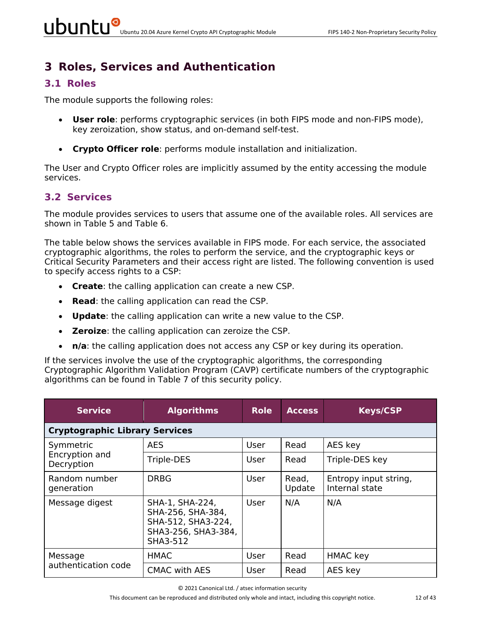# **3 Roles, Services and Authentication**

#### **3.1 Roles**

The module supports the following roles:

- **User role**: performs cryptographic services (in both FIPS mode and non-FIPS mode), key zeroization, show status, and on-demand self-test.
- **Crypto Officer role**: performs module installation and initialization.

The User and Crypto Officer roles are implicitly assumed by the entity accessing the module services.

#### **3.2 Services**

The module provides services to users that assume one of the available roles. All services are shown in Table 5 and Table 6.

The table below shows the services available in FIPS mode. For each service, the associated cryptographic algorithms, the roles to perform the service, and the cryptographic keys or Critical Security Parameters and their access right are listed. The following convention is used to specify access rights to a CSP:

- **Create**: the calling application can create a new CSP.
- **Read**: the calling application can read the CSP.
- **Update**: the calling application can write a new value to the CSP.
- **Zeroize**: the calling application can zeroize the CSP.
- **n/a**: the calling application does not access any CSP or key during its operation.

If the services involve the use of the cryptographic algorithms, the corresponding Cryptographic Algorithm Validation Program (CAVP) certificate numbers of the cryptographic algorithms can be found in Table 7 of this security policy.

| <b>Service</b>                        | <b>Algorithms</b>                                                                             | <b>Role</b> | <b>Access</b>   | <b>Keys/CSP</b>                         |  |  |  |  |  |
|---------------------------------------|-----------------------------------------------------------------------------------------------|-------------|-----------------|-----------------------------------------|--|--|--|--|--|
| <b>Cryptographic Library Services</b> |                                                                                               |             |                 |                                         |  |  |  |  |  |
| Symmetric                             | <b>AES</b>                                                                                    | User        | Read            | AES key                                 |  |  |  |  |  |
| Encryption and<br>Decryption          | Triple-DES                                                                                    | User        | Read            | Triple-DES key                          |  |  |  |  |  |
| Random number<br>generation           | <b>DRBG</b>                                                                                   | User        | Read,<br>Update | Entropy input string,<br>Internal state |  |  |  |  |  |
| Message digest                        | SHA-1, SHA-224,<br>SHA-256, SHA-384,<br>SHA-512, SHA3-224,<br>SHA3-256, SHA3-384,<br>SHA3-512 | User        | N/A             | N/A                                     |  |  |  |  |  |
| Message                               | <b>HMAC</b>                                                                                   | User        | Read            | <b>HMAC</b> key                         |  |  |  |  |  |
| authentication code                   | <b>CMAC with AES</b>                                                                          | User        | Read            | AES key                                 |  |  |  |  |  |

© 2021 Canonical Ltd. / atsec information security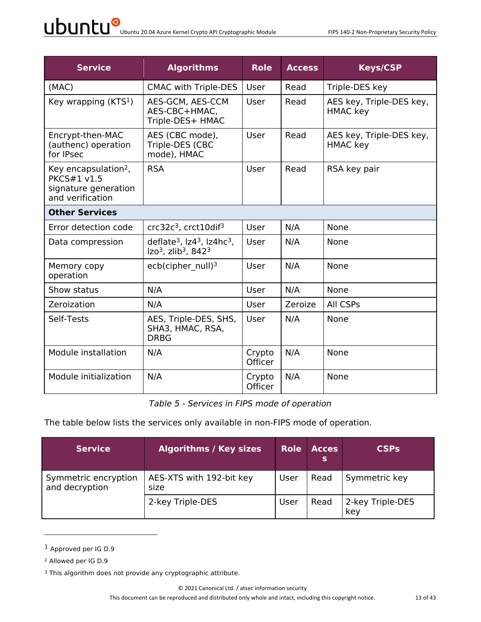| <b>Service</b>                                                                                     | <b>Algorithms</b>                                                                           | <b>Role</b>              | <b>Access</b> | <b>Keys/CSP</b>                             |  |  |
|----------------------------------------------------------------------------------------------------|---------------------------------------------------------------------------------------------|--------------------------|---------------|---------------------------------------------|--|--|
| (MAC)                                                                                              | <b>CMAC with Triple-DES</b>                                                                 | User                     | Read          | Triple-DES key                              |  |  |
| Key wrapping $(KTS1)$                                                                              | AES-GCM, AES-CCM<br>AES-CBC+HMAC,<br>Triple-DES+ HMAC                                       | User                     | Read          | AES key, Triple-DES key,<br><b>HMAC</b> key |  |  |
| Encrypt-then-MAC<br>(authenc) operation<br>for IPsec                                               | AES (CBC mode),<br>Triple-DES (CBC<br>mode), HMAC                                           | User                     | Read          | AES key, Triple-DES key,<br><b>HMAC</b> key |  |  |
| Key encapsulation <sup>2</sup> ,<br><b>PKCS#1 v1.5</b><br>signature generation<br>and verification | <b>RSA</b>                                                                                  | User                     | Read          | RSA key pair                                |  |  |
| <b>Other Services</b>                                                                              |                                                                                             |                          |               |                                             |  |  |
| Error detection code                                                                               | crc32c <sup>3</sup> , crct10dif <sup>3</sup>                                                | User                     | N/A           | None                                        |  |  |
| Data compression                                                                                   | deflate <sup>3</sup> , $Iz43$ , $Iz4hc3$ ,<br>$Izo3$ , zlib <sup>3</sup> , 842 <sup>3</sup> | User                     | N/A           | None                                        |  |  |
| Memory copy<br>operation                                                                           | ecb(cipher $null)3$                                                                         | User                     | N/A           | None                                        |  |  |
| Show status                                                                                        | N/A                                                                                         | User                     | N/A           | <b>None</b>                                 |  |  |
| Zeroization                                                                                        | N/A                                                                                         | User                     | Zeroize       | All CSPs                                    |  |  |
| Self-Tests                                                                                         | AES, Triple-DES, SHS,<br>SHA3, HMAC, RSA,<br><b>DRBG</b>                                    | User                     | N/A           | None                                        |  |  |
| Module installation                                                                                | N/A                                                                                         | Crypto<br><b>Officer</b> | N/A           | None                                        |  |  |
| Module initialization                                                                              | N/A                                                                                         | Crypto<br><b>Officer</b> | N/A           | None                                        |  |  |

*Table 5 - Services in FIPS mode of operation*

The table below lists the services only available in non-FIPS mode of operation.

| Service <sup>1</sup>                   | <b>Algorithms / Key sizes</b>    | <b>Role</b> | <b>Acces</b><br>s | <b>CSPs</b>             |
|----------------------------------------|----------------------------------|-------------|-------------------|-------------------------|
| Symmetric encryption<br>and decryption | AES-XTS with 192-bit key<br>size | User        | Read              | Symmetric key           |
|                                        | 2-key Triple-DES                 | User        | Read              | 2-key Triple-DES<br>key |

<sup>1</sup> Approved per IG D.9

<sup>2</sup> Allowed per IG D.9

<sup>&</sup>lt;sup>3</sup> This algorithm does not provide any cryptographic attribute.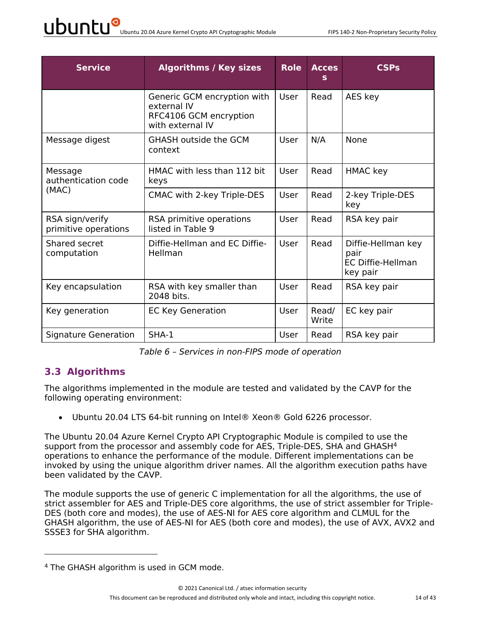| <b>Service</b>                          | <b>Algorithms / Key sizes</b>                                                            | <b>Role</b> | <b>Acces</b>   | <b>CSPs</b>                                                        |
|-----------------------------------------|------------------------------------------------------------------------------------------|-------------|----------------|--------------------------------------------------------------------|
|                                         | Generic GCM encryption with<br>external IV<br>RFC4106 GCM encryption<br>with external IV | User        | Read           | AES key                                                            |
| Message digest                          | <b>GHASH outside the GCM</b><br>context                                                  | User        | N/A            | <b>None</b>                                                        |
| Message<br>authentication code          | HMAC with less than 112 bit<br>keys                                                      | User        | Read           | HMAC key                                                           |
| (MAC)                                   | CMAC with 2-key Triple-DES                                                               | User        | Read           | 2-key Triple-DES<br>key                                            |
| RSA sign/verify<br>primitive operations | RSA primitive operations<br>listed in Table 9                                            | User        | Read           | RSA key pair                                                       |
| Shared secret<br>computation            | Diffie-Hellman and EC Diffie-<br>Hellman                                                 | User        | Read           | Diffie-Hellman key<br>pair<br><b>EC Diffie-Hellman</b><br>key pair |
| Key encapsulation                       | RSA with key smaller than<br>2048 bits.                                                  | User        | Read           | RSA key pair                                                       |
| Key generation                          | <b>EC Key Generation</b>                                                                 | User        | Read/<br>Write | EC key pair                                                        |
| Signature Generation                    | $SHA-1$                                                                                  | User        | Read           | RSA key pair                                                       |

*Table 6 – Services in non-FIPS mode of operation*

#### **3.3 Algorithms**

The algorithms implemented in the module are tested and validated by the CAVP for the following operating environment:

• Ubuntu 20.04 LTS 64-bit running on Intel® Xeon® Gold 6226 processor.

The Ubuntu 20.04 Azure Kernel Crypto API Cryptographic Module is compiled to use the support from the processor and assembly code for AES, Triple-DES, SHA and GHASH<sup>4</sup> operations to enhance the performance of the module. Different implementations can be invoked by using the unique algorithm driver names. All the algorithm execution paths have been validated by the CAVP.

The module supports the use of generic C implementation for all the algorithms, the use of strict assembler for AES and Triple-DES core algorithms, the use of strict assembler for Triple-DES (both core and modes), the use of AES-NI for AES core algorithm and CLMUL for the GHASH algorithm, the use of AES-NI for AES (both core and modes), the use of AVX, AVX2 and SSSE3 for SHA algorithm.

<sup>4</sup> The GHASH algorithm is used in GCM mode.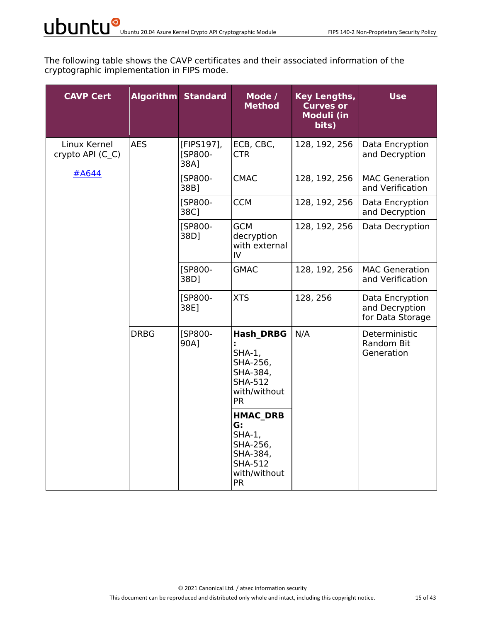The following table shows the CAVP certificates and their associated information of the cryptographic implementation in FIPS mode.

| <b>CAVP Cert</b>                 |             | <b>Algorithm Standard</b>     | Mode /<br><b>Method</b>                                                                                   | Key Lengths,<br><b>Curves or</b><br><b>Moduli (in</b><br>bits) | <b>Use</b>                                            |
|----------------------------------|-------------|-------------------------------|-----------------------------------------------------------------------------------------------------------|----------------------------------------------------------------|-------------------------------------------------------|
| Linux Kernel<br>crypto API (C_C) | <b>AES</b>  | [FIPS197],<br>[SP800-<br>38A] | ECB, CBC,<br><b>CTR</b>                                                                                   | 128, 192, 256                                                  | Data Encryption<br>and Decryption                     |
| #A644                            |             | [SP800-<br>38B]               | <b>CMAC</b>                                                                                               | 128, 192, 256                                                  | <b>MAC Generation</b><br>and Verification             |
|                                  |             | [SP800-<br>38C]               | <b>CCM</b>                                                                                                | 128, 192, 256                                                  | Data Encryption<br>and Decryption                     |
|                                  |             | [SP800-<br>38D]               | <b>GCM</b><br>decryption<br>with external<br>IV                                                           | 128, 192, 256                                                  | Data Decryption                                       |
|                                  |             | [SP800-<br>38D]               | <b>GMAC</b>                                                                                               | 128, 192, 256                                                  | <b>MAC Generation</b><br>and Verification             |
|                                  |             | [SP800-<br>38E]               | <b>XTS</b>                                                                                                | 128, 256                                                       | Data Encryption<br>and Decryption<br>for Data Storage |
|                                  | <b>DRBG</b> | [SP800-<br>90A]               | <b>Hash DRBG</b><br>$SHA-1$ ,<br>SHA-256,<br>SHA-384,<br><b>SHA-512</b><br>with/without<br><b>PR</b>      | N/A                                                            | Deterministic<br>Random Bit<br>Generation             |
|                                  |             |                               | <b>HMAC DRB</b><br>G:<br>$SHA-1$ ,<br>SHA-256,<br>SHA-384,<br><b>SHA-512</b><br>with/without<br><b>PR</b> |                                                                |                                                       |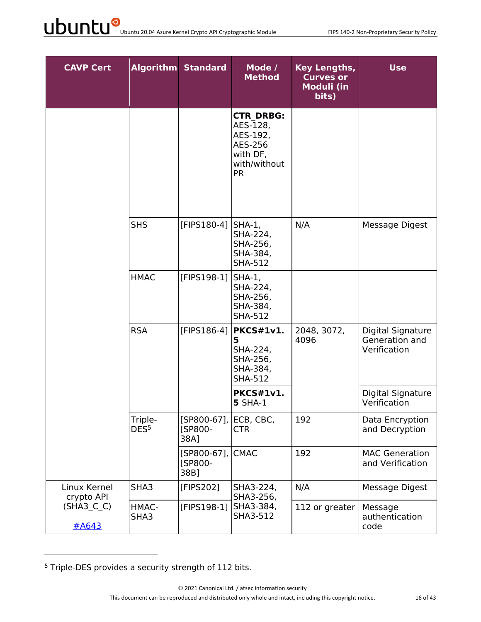| <b>CAVP Cert</b>           |                             | <b>Algorithm Standard</b>         | Mode /<br><b>Method</b>                                                                      | Key Lengths,<br><b>Curves or</b><br><b>Moduli (in</b><br>bits) | <b>Use</b>                                          |
|----------------------------|-----------------------------|-----------------------------------|----------------------------------------------------------------------------------------------|----------------------------------------------------------------|-----------------------------------------------------|
|                            |                             |                                   | <b>CTR DRBG:</b><br>AES-128,<br>AES-192,<br>AES-256<br>with DF,<br>with/without<br><b>PR</b> |                                                                |                                                     |
|                            | <b>SHS</b>                  | [FIPS180-4]                       | $SHA-1$ ,<br>SHA-224,<br>SHA-256,<br>SHA-384,<br><b>SHA-512</b>                              | N/A                                                            | Message Digest                                      |
|                            | <b>HMAC</b>                 | [FIPS198-1]                       | $SHA-1$ ,<br>SHA-224,<br>SHA-256,<br>SHA-384,<br><b>SHA-512</b>                              |                                                                |                                                     |
|                            | <b>RSA</b>                  | [FIPS186-4]                       | PKCS#1v1.<br>5<br>SHA-224,<br>SHA-256,<br>SHA-384,<br><b>SHA-512</b>                         | 2048, 3072,<br>4096                                            | Digital Signature<br>Generation and<br>Verification |
|                            |                             |                                   | <b>PKCS#1v1.</b><br><b>5 SHA-1</b>                                                           |                                                                | Digital Signature<br>Verification                   |
|                            | Triple-<br>DES <sup>5</sup> | [SP800-67],<br>[SP800-<br>38A]    | ECB, CBC,<br><b>CTR</b>                                                                      | 192                                                            | Data Encryption<br>and Decryption                   |
|                            |                             | $[SP800-67]$ ,<br>[SP800-<br>38B] | <b>CMAC</b>                                                                                  | 192                                                            | <b>MAC Generation</b><br>and Verification           |
| Linux Kernel<br>crypto API | SHA3                        | [FIPS202]                         | SHA3-224,<br>SHA3-256,                                                                       | N/A                                                            | Message Digest                                      |
| $(SHA3_C C)$<br>#A643      | HMAC-<br>SHA3               | [FIPS198-1]                       | SHA3-384,<br>SHA3-512                                                                        | 112 or greater                                                 | Message<br>authentication<br>code                   |

<sup>5</sup> Triple-DES provides a security strength of 112 bits.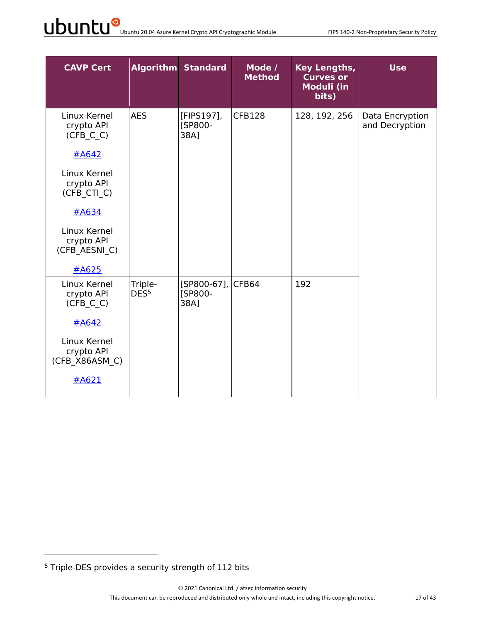| <b>CAVP Cert</b>                                                 |                             | <b>Algorithm Standard</b>                   | Mode /<br><b>Method</b> | Key Lengths,<br><b>Curves or</b><br>Moduli (in<br>bits) | <b>Use</b>                        |
|------------------------------------------------------------------|-----------------------------|---------------------------------------------|-------------------------|---------------------------------------------------------|-----------------------------------|
| Linux Kernel<br>crypto API<br>(CFB C C)<br>#A642<br>Linux Kernel | <b>AES</b>                  | [FIPS197],<br>[SP800-<br>38A]               | <b>CFB128</b>           | 128, 192, 256                                           | Data Encryption<br>and Decryption |
| crypto API<br>(CFB CTI C)                                        |                             |                                             |                         |                                                         |                                   |
| $\#A634$                                                         |                             |                                             |                         |                                                         |                                   |
| Linux Kernel<br>crypto API<br>(CFB AESNI C)                      |                             |                                             |                         |                                                         |                                   |
| #A625                                                            |                             |                                             |                         |                                                         |                                   |
| Linux Kernel<br>crypto API<br>(CFB C C)                          | Triple-<br>DES <sup>5</sup> | [SP800-67], CFB64<br><b>[SP800-</b><br>38A] |                         | 192                                                     |                                   |
| #A642                                                            |                             |                                             |                         |                                                         |                                   |
| Linux Kernel<br>crypto API<br>(CFB X86ASM C)                     |                             |                                             |                         |                                                         |                                   |
| #A621                                                            |                             |                                             |                         |                                                         |                                   |

<sup>5</sup> Triple-DES provides a security strength of 112 bits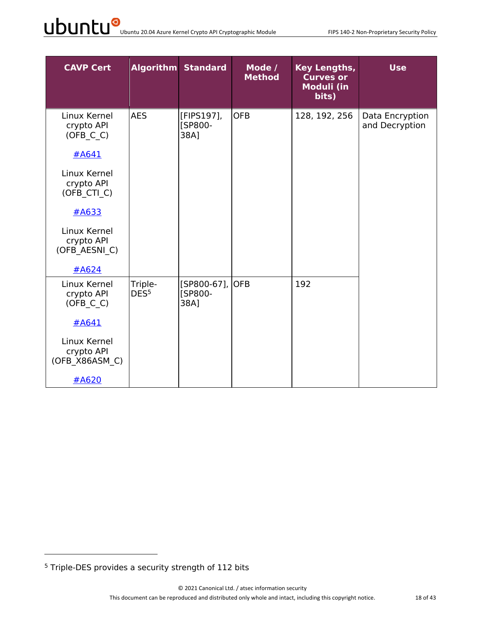| <b>CAVP Cert</b>                             |                             | <b>Algorithm Standard</b>             | Mode /<br><b>Method</b> | <b>Key Lengths,</b><br><b>Curves or</b><br><b>Moduli (in</b><br>bits) | <b>Use</b>                        |
|----------------------------------------------|-----------------------------|---------------------------------------|-------------------------|-----------------------------------------------------------------------|-----------------------------------|
| Linux Kernel<br>crypto API<br>$(OFB_C_C)$    | <b>AES</b>                  | [FIPS197],<br>[SP800-<br>38A1         | <b>OFB</b>              | 128, 192, 256                                                         | Data Encryption<br>and Decryption |
| #A641                                        |                             |                                       |                         |                                                                       |                                   |
| Linux Kernel<br>crypto API<br>(OFB CTI C)    |                             |                                       |                         |                                                                       |                                   |
| $\#A633$                                     |                             |                                       |                         |                                                                       |                                   |
| Linux Kernel<br>crypto API<br>(OFB AESNI C)  |                             |                                       |                         |                                                                       |                                   |
| #A624                                        |                             |                                       |                         |                                                                       |                                   |
| Linux Kernel<br>crypto API<br>(OFB C C)      | Triple-<br>DES <sup>5</sup> | [SP800-67],<br><b>[SP800-</b><br>38A] | <b>OFB</b>              | 192                                                                   |                                   |
| #A641                                        |                             |                                       |                         |                                                                       |                                   |
| Linux Kernel<br>crypto API<br>(OFB X86ASM C) |                             |                                       |                         |                                                                       |                                   |
| #A620                                        |                             |                                       |                         |                                                                       |                                   |

<sup>5</sup> Triple-DES provides a security strength of 112 bits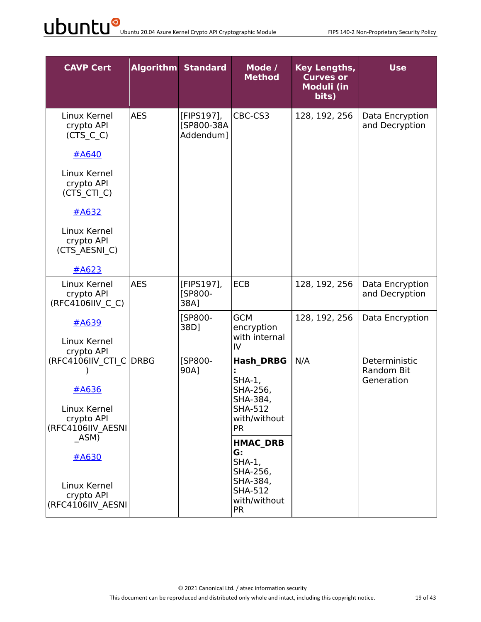| <b>CAVP Cert</b>                                |            | <b>Algorithm Standard</b>             | Mode /<br><b>Method</b>                                 | <b>Key Lengths,</b><br><b>Curves or</b><br>Moduli (in<br>bits) | <b>Use</b>                                |
|-------------------------------------------------|------------|---------------------------------------|---------------------------------------------------------|----------------------------------------------------------------|-------------------------------------------|
| Linux Kernel<br>crypto API<br>$(CTS_C_C)$       | <b>AES</b> | [FIPS197],<br>[SP800-38A<br>Addendum] | CBC-CS3                                                 | 128, 192, 256                                                  | Data Encryption<br>and Decryption         |
| #A640                                           |            |                                       |                                                         |                                                                |                                           |
| Linux Kernel<br>crypto API<br>(CTS CTI_C)       |            |                                       |                                                         |                                                                |                                           |
| $\#A632$                                        |            |                                       |                                                         |                                                                |                                           |
| Linux Kernel<br>crypto API<br>(CTS AESNI C)     |            |                                       |                                                         |                                                                |                                           |
| #A623                                           |            |                                       |                                                         |                                                                |                                           |
| Linux Kernel<br>crypto API<br>(RFC4106IIV C C)  | <b>AES</b> | [FIPS197],<br>[SP800-<br>38A]         | <b>ECB</b>                                              | 128, 192, 256                                                  | Data Encryption<br>and Decryption         |
| #A639                                           |            | [SP800-<br>38D]                       | <b>GCM</b><br>encryption<br>with internal               | 128, 192, 256                                                  | Data Encryption                           |
| Linux Kernel<br>crypto API                      |            |                                       | $\mathsf{IV}$                                           |                                                                |                                           |
| (RFC4106IIV CTI C DRBG                          |            | <b>ISP800-</b><br>90A]                | <b>Hash DRBG</b><br>$SHA-1$ ,                           | N/A                                                            | Deterministic<br>Random Bit<br>Generation |
| #A636                                           |            |                                       | SHA-256,<br>SHA-384,                                    |                                                                |                                           |
| Linux Kernel<br>crypto API<br>(RFC4106IIV AESNI |            |                                       | SHA-512<br>with/without<br><b>PR</b>                    |                                                                |                                           |
| ASM)                                            |            |                                       | <b>HMAC DRB</b>                                         |                                                                |                                           |
| #A630                                           |            |                                       | G:<br>$SHA-1$ ,<br>SHA-256,                             |                                                                |                                           |
| Linux Kernel<br>crypto API<br>(RFC4106IIV AESNI |            |                                       | SHA-384,<br><b>SHA-512</b><br>with/without<br><b>PR</b> |                                                                |                                           |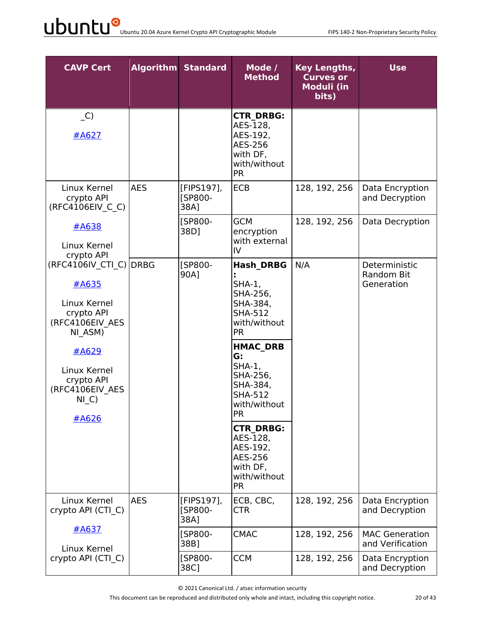| <b>CAVP Cert</b>                                                                                                                                                         |            | <b>Algorithm Standard</b>            | Mode /<br><b>Method</b>                                                                                                                                                                                                                                                                                          | <b>Key Lengths,</b><br><b>Curves or</b><br><b>Moduli (in</b><br>bits) | <b>Use</b>                                |
|--------------------------------------------------------------------------------------------------------------------------------------------------------------------------|------------|--------------------------------------|------------------------------------------------------------------------------------------------------------------------------------------------------------------------------------------------------------------------------------------------------------------------------------------------------------------|-----------------------------------------------------------------------|-------------------------------------------|
| $\overline{\phantom{a}}$ C)<br>#A627                                                                                                                                     |            |                                      | <b>CTR DRBG:</b><br>AES-128,<br>AES-192,<br>AES-256<br>with DF,<br>with/without<br><b>PR</b>                                                                                                                                                                                                                     |                                                                       |                                           |
| Linux Kernel<br>crypto API<br>(RFC4106EIV C C)                                                                                                                           | <b>AES</b> | [FIPS197],<br><b>[SP800-</b><br>38A] | <b>ECB</b>                                                                                                                                                                                                                                                                                                       | 128, 192, 256                                                         | Data Encryption<br>and Decryption         |
| <u>#A638</u><br>Linux Kernel<br>crypto API                                                                                                                               |            | [SP800-<br>38D]                      | <b>GCM</b><br>encryption<br>with external<br>IV                                                                                                                                                                                                                                                                  | 128, 192, 256                                                         | Data Decryption                           |
| (RFC4106IV CTI C) DRBG<br>#A635<br>Linux Kernel<br>crypto API<br>(RFC4106EIV AES<br>NI ASM)<br>#A629<br>Linux Kernel<br>crypto API<br>(RFC4106EIV AES<br>$NI_C$<br>#A626 |            | [SP800-<br>90A]                      | <b>Hash DRBG</b><br>$SHA-1$ ,<br>SHA-256,<br>SHA-384,<br><b>SHA-512</b><br>with/without<br><b>PR</b><br><b>HMAC DRB</b><br>G:<br>$SHA-1,$<br>SHA-256,<br>SHA-384,<br><b>SHA-512</b><br>with/without<br><b>PR</b><br><b>CTR DRBG:</b><br>AES-128,<br>AES-192,<br>AES-256<br>with DF,<br>with/without<br><b>PR</b> | N/A                                                                   | Deterministic<br>Random Bit<br>Generation |
| Linux Kernel<br>crypto API (CTI C)                                                                                                                                       | <b>AES</b> | [FIPS197],<br>[SP800-<br>38A]        | ECB, CBC,<br><b>CTR</b>                                                                                                                                                                                                                                                                                          | 128, 192, 256                                                         | Data Encryption<br>and Decryption         |
| #A637<br>Linux Kernel                                                                                                                                                    |            | [SP800-<br>38B]                      | <b>CMAC</b>                                                                                                                                                                                                                                                                                                      | 128, 192, 256                                                         | <b>MAC Generation</b><br>and Verification |
| crypto API (CTI C)                                                                                                                                                       |            | [SP800-<br>38C]                      | <b>CCM</b>                                                                                                                                                                                                                                                                                                       | 128, 192, 256                                                         | Data Encryption<br>and Decryption         |

© 2021 Canonical Ltd. / atsec information security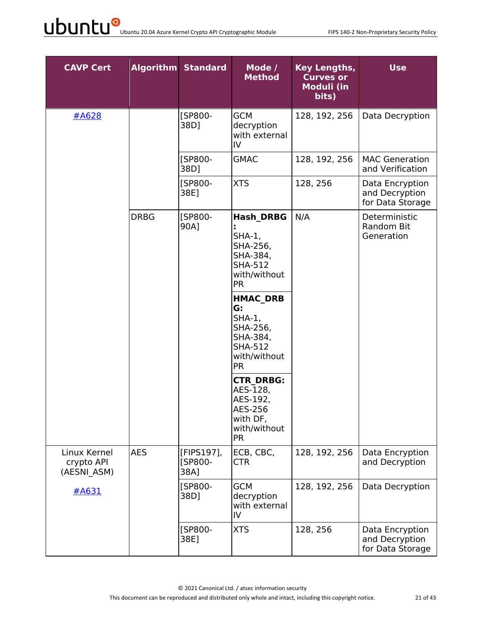| <b>CAVP Cert</b>                          |             | <b>Algorithm Standard</b>     | Mode /<br><b>Method</b>                                                                                  | <b>Key Lengths,</b><br><b>Curves or</b><br>Moduli (in<br>bits) | <b>Use</b>                                            |
|-------------------------------------------|-------------|-------------------------------|----------------------------------------------------------------------------------------------------------|----------------------------------------------------------------|-------------------------------------------------------|
| #A628                                     |             | [SP800-<br>38D]               | <b>GCM</b><br>decryption<br>with external<br>$\mathsf{IV}$                                               | 128, 192, 256                                                  | Data Decryption                                       |
|                                           |             | [SP800-<br>38D]               | <b>GMAC</b>                                                                                              | 128, 192, 256                                                  | <b>MAC Generation</b><br>and Verification             |
|                                           |             | [SP800-<br>38E]               | <b>XTS</b>                                                                                               | 128, 256                                                       | Data Encryption<br>and Decryption<br>for Data Storage |
|                                           | <b>DRBG</b> | [SP800-<br>90A]               | <b>Hash DRBG</b><br>$SHA-1$ ,<br>SHA-256,<br>SHA-384,<br><b>SHA-512</b><br>with/without<br><b>PR</b>     | N/A                                                            | Deterministic<br><b>Random Bit</b><br>Generation      |
|                                           |             |                               | <b>HMAC DRB</b><br>G:<br>$SHA-1,$<br>SHA-256,<br>SHA-384,<br><b>SHA-512</b><br>with/without<br><b>PR</b> |                                                                |                                                       |
|                                           |             |                               | <b>CTR DRBG:</b><br>AES-128,<br>AES-192,<br>AES-256<br>with DF,<br>with/without<br><b>PR</b>             |                                                                |                                                       |
| Linux Kernel<br>crypto API<br>(AESNI ASM) | <b>AES</b>  | [FIPS197],<br>[SP800-<br>38A] | ECB, CBC,<br><b>CTR</b>                                                                                  | 128, 192, 256                                                  | Data Encryption<br>and Decryption                     |
| #A631                                     |             | [SP800-<br>38D]               | <b>GCM</b><br>decryption<br>with external<br>IV                                                          | 128, 192, 256                                                  | Data Decryption                                       |
|                                           |             | [SP800-<br>38E]               | <b>XTS</b>                                                                                               | 128, 256                                                       | Data Encryption<br>and Decryption<br>for Data Storage |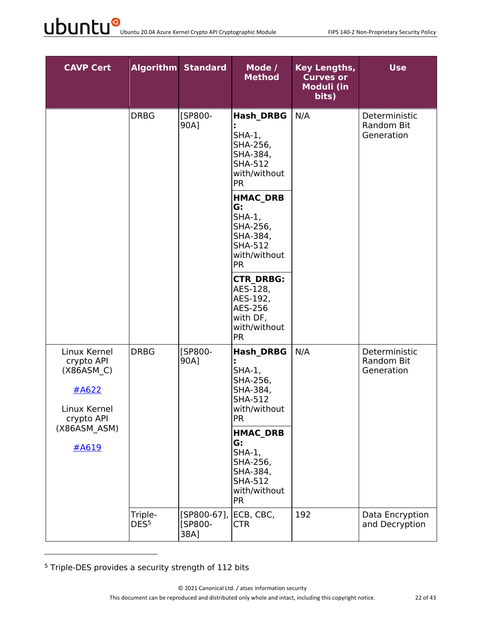| <b>CAVP Cert</b>                                                                                         |                             | <b>Algorithm Standard</b>      | Mode /<br><b>Method</b>                                                                                                                                                                                                                                                                                          | <b>Key Lengths,</b><br><b>Curves or</b><br>Moduli (in<br>bits) | <b>Use</b>                                |
|----------------------------------------------------------------------------------------------------------|-----------------------------|--------------------------------|------------------------------------------------------------------------------------------------------------------------------------------------------------------------------------------------------------------------------------------------------------------------------------------------------------------|----------------------------------------------------------------|-------------------------------------------|
|                                                                                                          | <b>DRBG</b>                 | [SP800-<br>90A]                | <b>Hash DRBG</b><br>$SHA-1,$<br>SHA-256,<br>SHA-384,<br><b>SHA-512</b><br>with/without<br><b>PR</b><br><b>HMAC DRB</b><br>G:<br>$SHA-1$ ,<br>SHA-256,<br>SHA-384,<br><b>SHA-512</b><br>with/without<br><b>PR</b><br><b>CTR DRBG:</b><br>AES-128,<br>AES-192,<br>AES-256<br>with DF,<br>with/without<br><b>PR</b> | N/A                                                            | Deterministic<br>Random Bit<br>Generation |
| Linux Kernel<br>crypto API<br>(X86ASM C)<br>#A622<br>Linux Kernel<br>crypto API<br>(X86ASM ASM)<br>#A619 | <b>DRBG</b>                 | [SP800-<br>90A]                | <b>Hash DRBG</b><br>$SHA-1$ ,<br>SHA-256,<br>SHA-384,<br><b>SHA-512</b><br>with/without<br><b>PR</b><br><b>HMAC DRB</b><br>G:<br>$SHA-1,$<br>SHA-256,<br>SHA-384,<br><b>SHA-512</b><br>with/without<br><b>PR</b>                                                                                                 | N/A                                                            | Deterministic<br>Random Bit<br>Generation |
|                                                                                                          | Triple-<br>DES <sup>5</sup> | [SP800-67],<br>[SP800-<br>38A] | ECB, CBC,<br><b>CTR</b>                                                                                                                                                                                                                                                                                          | 192                                                            | Data Encryption<br>and Decryption         |

<sup>5</sup> Triple-DES provides a security strength of 112 bits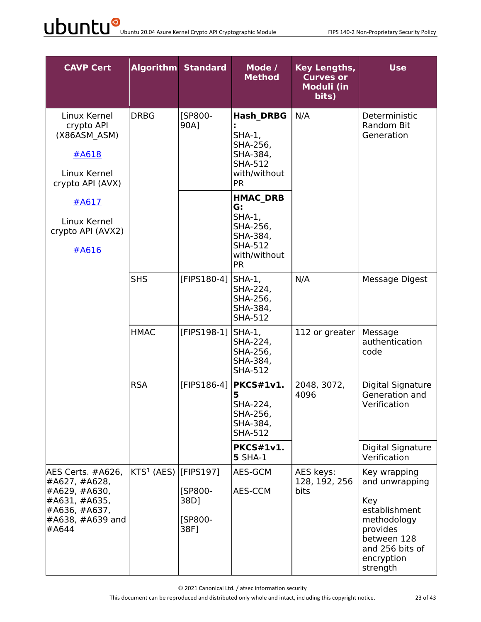| <b>CAVP Cert</b>                                                                                                       |                                   | <b>Algorithm Standard</b>          | Mode /<br><b>Method</b>                                                                                   | <b>Key Lengths,</b><br><b>Curves or</b><br>Moduli (in<br>bits) | <b>Use</b>                                                                                                                                    |
|------------------------------------------------------------------------------------------------------------------------|-----------------------------------|------------------------------------|-----------------------------------------------------------------------------------------------------------|----------------------------------------------------------------|-----------------------------------------------------------------------------------------------------------------------------------------------|
| Linux Kernel<br>crypto API<br>(X86ASM ASM)<br>#A618<br>Linux Kernel<br>crypto API (AVX)                                | <b>DRBG</b>                       | [SP800-<br>90A]                    | <b>Hash DRBG</b><br>$SHA-1$ ,<br>SHA-256,<br>SHA-384,<br><b>SHA-512</b><br>with/without<br><b>PR</b>      | N/A                                                            | Deterministic<br>Random Bit<br>Generation                                                                                                     |
| #A617<br>Linux Kernel<br>crypto API (AVX2)<br>#A616                                                                    |                                   |                                    | <b>HMAC DRB</b><br>G:<br>$SHA-1$ ,<br>SHA-256,<br>SHA-384,<br><b>SHA-512</b><br>with/without<br><b>PR</b> |                                                                |                                                                                                                                               |
|                                                                                                                        | <b>SHS</b>                        | [FIPS180-4]                        | $SHA-1$ ,<br>SHA-224,<br>SHA-256,<br>SHA-384,<br><b>SHA-512</b>                                           | N/A                                                            | Message Digest                                                                                                                                |
|                                                                                                                        | <b>HMAC</b>                       | [FIPS198-1]                        | $SHA-1$ ,<br>SHA-224,<br>SHA-256,<br>SHA-384,<br><b>SHA-512</b>                                           | 112 or greater                                                 | Message<br>authentication<br>code                                                                                                             |
|                                                                                                                        | <b>RSA</b>                        | [FIPS186-4]                        | PKCS#1v1.<br>5<br>SHA-224,<br>SHA-256,<br>SHA-384,<br><b>SHA-512</b>                                      | 2048, 3072,<br>4096                                            | Digital Signature<br>Generation and<br>Verification                                                                                           |
|                                                                                                                        |                                   |                                    | <b>PKCS#1v1.</b><br><b>5 SHA-1</b>                                                                        |                                                                | Digital Signature<br>Verification                                                                                                             |
| AES Certs. #A626,<br>#A627, #A628,<br>#A629, #A630,<br>#A631, #A635,<br>#A636, #A637,<br>$\#A638, \#A639$ and<br>#A644 | KTS <sup>1</sup> (AES) [[FIPS197] | [SP800-<br>38D]<br>[SP800-<br>38F] | AES-GCM<br>AES-CCM                                                                                        | AES keys:<br>128, 192, 256<br><b>bits</b>                      | Key wrapping<br>and unwrapping<br>Key<br>establishment<br>methodology<br>provides<br>between 128<br>and 256 bits of<br>encryption<br>strength |

© 2021 Canonical Ltd. / atsec information security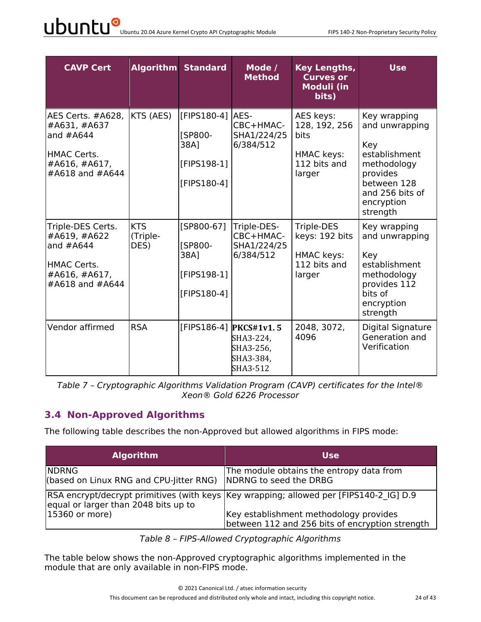| <b>CAVP Cert</b>                                                                                    |                                | <b>Algorithm Standard</b>                                            | Mode /<br><b>Method</b>                                                     | <b>Key Lengths,</b><br><b>Curves or</b><br><b>Moduli (in</b><br>bits)       | <b>Use</b>                                                                                                                                    |
|-----------------------------------------------------------------------------------------------------|--------------------------------|----------------------------------------------------------------------|-----------------------------------------------------------------------------|-----------------------------------------------------------------------------|-----------------------------------------------------------------------------------------------------------------------------------------------|
| AES Certs. #A628,<br>#A631, #A637<br>and $#A644$<br>HMAC Certs.<br>#A616, #A617,<br>#A618 and #A644 | KTS (AES)                      | [FIPS180-4]<br><b>ISP800-</b><br>38A1<br>[FIPS198-1]<br>[FIPS180-4]  | AES-<br>CBC+HMAC-<br>SHA1/224/25<br>6/384/512                               | AES keys:<br>128, 192, 256<br>bits<br>HMAC keys:<br>112 bits and<br>larger  | Key wrapping<br>and unwrapping<br>Key<br>establishment<br>methodology<br>provides<br>between 128<br>and 256 bits of<br>encryption<br>strength |
| Triple-DES Certs.<br>#A619, #A622<br>and $#A644$<br>HMAC Certs.<br>#A616, #A617,<br>#A618 and #A644 | <b>KTS</b><br>(Triple-<br>DES) | $[SP800-67]$<br><b>[SP800-</b><br>38A1<br>[FIPS198-1]<br>[FIPS180-4] | Triple-DES-<br>CBC+HMAC-<br>SHA1/224/25<br>6/384/512                        | Triple-DES<br>keys: 192 bits<br><b>HMAC keys:</b><br>112 bits and<br>larger | Key wrapping<br>and unwrapping<br>Key<br>establishment<br>methodology<br>provides 112<br>bits of<br>encryption<br>strength                    |
| Vendor affirmed                                                                                     | <b>RSA</b>                     |                                                                      | $[FIPS186-4]$ PKCS#1v1.5<br>SHA3-224,<br>SHA3-256,<br>SHA3-384,<br>SHA3-512 | 2048, 3072,<br>4096                                                         | Digital Signature<br>Generation and<br>Verification                                                                                           |

*Table 7 – Cryptographic Algorithms Validation Program (CAVP) certificates for the Intel® Xeon® Gold 6226 Processor*

#### **3.4 Non-Approved Algorithms**

The following table describes the non-Approved but allowed algorithms in FIPS mode:

| <b>Algorithm</b>                                        | <b>Use</b>                                                                                |
|---------------------------------------------------------|-------------------------------------------------------------------------------------------|
| <b>NDRNG</b><br>(based on Linux RNG and CPU-Jitter RNG) | The module obtains the entropy data from<br>NDRNG to seed the DRBG                        |
| equal or larger than 2048 bits up to                    | RSA encrypt/decrypt primitives (with keys  Key wrapping; allowed per [FIPS140-2 IG] D.9   |
| 15360 or more)                                          | Key establishment methodology provides<br>between 112 and 256 bits of encryption strength |

*Table 8 – FIPS-Allowed Cryptographic Algorithms*

The table below shows the non-Approved cryptographic algorithms implemented in the module that are only available in non-FIPS mode.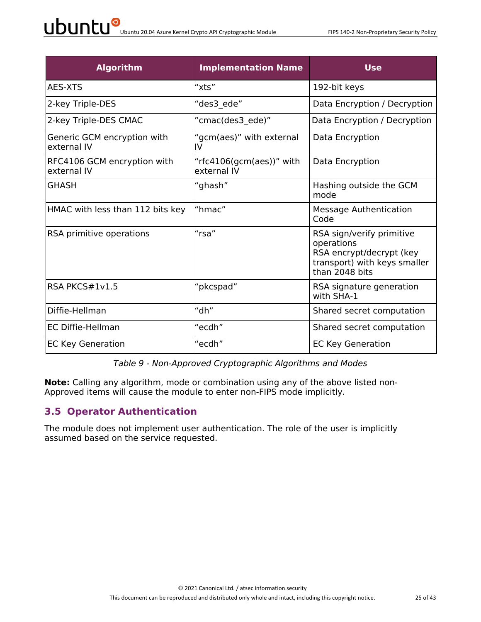| $\mathsf{U}$ buntu 20.04 Azure Kernel Crypto API Cryptographic Module |
|-----------------------------------------------------------------------|
|-----------------------------------------------------------------------|

| <b>Algorithm</b>                           | <b>Implementation Name</b>              | <b>Use</b>                                                                                                            |
|--------------------------------------------|-----------------------------------------|-----------------------------------------------------------------------------------------------------------------------|
| AES-XTS                                    | "xts"                                   | 192-bit keys                                                                                                          |
| 2-key Triple-DES                           | "des3 ede"                              | Data Encryption / Decryption                                                                                          |
| 2-key Triple-DES CMAC                      | "cmac(des3 ede)"                        | Data Encryption / Decryption                                                                                          |
| Generic GCM encryption with<br>external IV | "gcm(aes)" with external<br>IV          | Data Encryption                                                                                                       |
| RFC4106 GCM encryption with<br>external IV | "rfc4106(gcm(aes))" with<br>external IV | Data Encryption                                                                                                       |
| <b>GHASH</b>                               | "ghash"                                 | Hashing outside the GCM<br>mode                                                                                       |
| HMAC with less than 112 bits key           | "hmac"                                  | <b>Message Authentication</b><br>Code                                                                                 |
| RSA primitive operations                   | "rsa"                                   | RSA sign/verify primitive<br>operations<br>RSA encrypt/decrypt (key<br>transport) with keys smaller<br>than 2048 bits |
| RSA PKCS#1v1.5                             | "pkcspad"                               | RSA signature generation<br>with SHA-1                                                                                |
| Diffie-Hellman                             | "dh"                                    | Shared secret computation                                                                                             |
| <b>EC Diffie-Hellman</b>                   | "ecdh"                                  | Shared secret computation                                                                                             |
| <b>EC Key Generation</b>                   | "ecdh"                                  | <b>EC Key Generation</b>                                                                                              |

*Table 9 - Non-Approved Cryptographic Algorithms and Modes*

**Note:** Calling any algorithm, mode or combination using any of the above listed non-Approved items will cause the module to enter non-FIPS mode implicitly.

#### **3.5 Operator Authentication**

The module does not implement user authentication. The role of the user is implicitly assumed based on the service requested.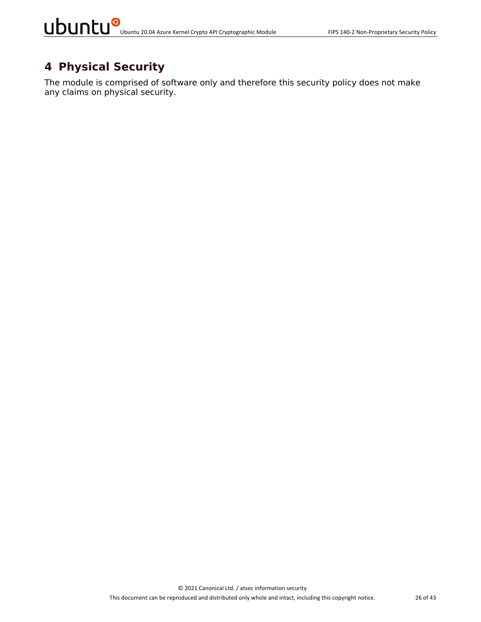### **4 Physical Security**

The module is comprised of software only and therefore this security policy does not make any claims on physical security.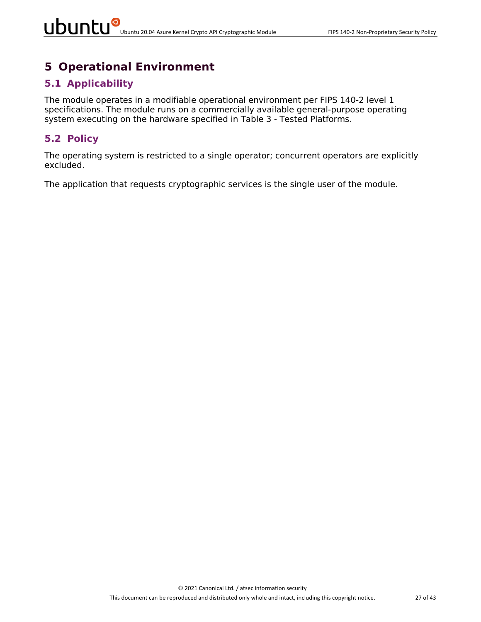### **5 Operational Environment**

#### **5.1 Applicability**

The module operates in a modifiable operational environment per FIPS 140-2 level 1 specifications. The module runs on a commercially available general-purpose operating system executing on the hardware specified in Table 3 - Tested Platforms.

#### **5.2 Policy**

The operating system is restricted to a single operator; concurrent operators are explicitly excluded.

The application that requests cryptographic services is the single user of the module.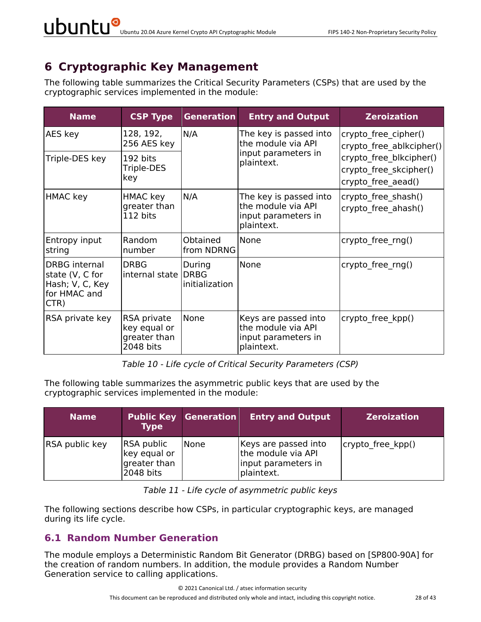# **6 Cryptographic Key Management**

The following table summarizes the Critical Security Parameters (CSPs) that are used by the cryptographic services implemented in the module:

| <b>Name</b>                                                                        | <b>CSP Type</b>                                          | <b>Generation</b>        | <b>Entry and Output</b>                                                           | <b>Zeroization</b>                                                      |
|------------------------------------------------------------------------------------|----------------------------------------------------------|--------------------------|-----------------------------------------------------------------------------------|-------------------------------------------------------------------------|
| AES key                                                                            | 128, 192,<br>256 AES key                                 | N/A                      | The key is passed into<br>the module via API                                      | crypto free cipher()<br>crypto free ablkcipher()                        |
| Triple-DES key                                                                     | 192 bits<br>Triple-DES<br>key                            |                          | input parameters in<br>plaintext.                                                 | crypto free blkcipher()<br>crypto free skcipher()<br>crypto free aead() |
| HMAC key                                                                           | HMAC key<br>greater than<br>112 bits                     | N/A                      | The key is passed into<br>the module via API<br>input parameters in<br>plaintext. | crypto_free_shash()<br>crypto free ahash()                              |
| Entropy input<br>string                                                            | Random<br>number                                         | Obtained<br>from NDRNG   | None                                                                              | crypto_free_rng()                                                       |
| <b>DRBG</b> internal<br>state (V, C for<br>Hash; V, C, Key<br>for HMAC and<br>CTR) | <b>DRBG</b><br>internal state DRBG                       | During<br>initialization | None                                                                              | crypto free rng()                                                       |
| RSA private key                                                                    | RSA private<br>key equal or<br>greater than<br>2048 bits | None                     | Keys are passed into<br>the module via API<br>input parameters in<br>plaintext.   | crypto free kpp()                                                       |

*Table 10 - Life cycle of Critical Security Parameters (CSP)*

The following table summarizes the asymmetric public keys that are used by the cryptographic services implemented in the module:

| <b>Name</b>    | <b>Type</b>                                                    | <b>Public Key Generation</b> | <b>Entry and Output</b>                                                         | <b>Zeroization</b> |
|----------------|----------------------------------------------------------------|------------------------------|---------------------------------------------------------------------------------|--------------------|
| RSA public key | <b>RSA public</b><br>key equal or<br>greater than<br>2048 bits | <b>None</b>                  | Keys are passed into<br>the module via API<br>input parameters in<br>plaintext. | crypto free kpp()  |

| Table 11 - Life cycle of asymmetric public keys |  |  |  |
|-------------------------------------------------|--|--|--|
|-------------------------------------------------|--|--|--|

The following sections describe how CSPs, in particular cryptographic keys, are managed during its life cycle.

#### **6.1 Random Number Generation**

The module employs a Deterministic Random Bit Generator (DRBG) based on [SP800-90A] for the creation of random numbers. In addition, the module provides a Random Number Generation service to calling applications.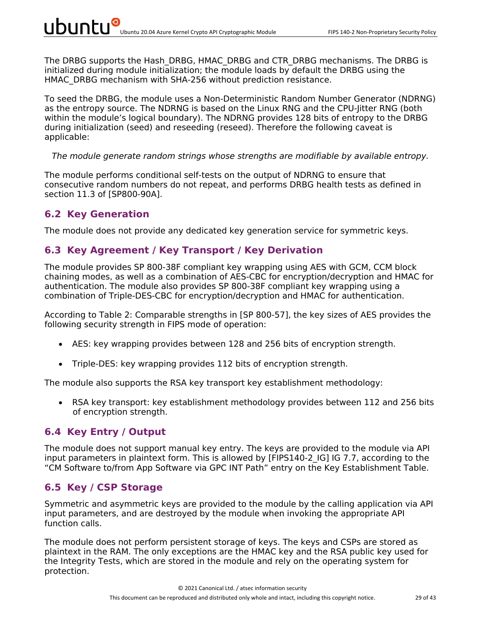The DRBG supports the Hash DRBG, HMAC DRBG and CTR DRBG mechanisms. The DRBG is initialized during module initialization; the module loads by default the DRBG using the HMAC\_DRBG mechanism with SHA-256 without prediction resistance.

To seed the DRBG, the module uses a Non-Deterministic Random Number Generator (NDRNG) as the entropy source. The NDRNG is based on the Linux RNG and the CPU-Jitter RNG (both within the module's logical boundary). The NDRNG provides 128 bits of entropy to the DRBG during initialization (seed) and reseeding (reseed). Therefore the following caveat is applicable:

#### *The module generate random strings whose strengths are modifiable by available entropy.*

The module performs conditional self-tests on the output of NDRNG to ensure that consecutive random numbers do not repeat, and performs DRBG health tests as defined in section 11.3 of [SP800-90A].

#### **6.2 Key Generation**

The module does not provide any dedicated key generation service for symmetric keys.

#### **6.3 Key Agreement / Key Transport / Key Derivation**

The module provides SP 800-38F compliant key wrapping using AES with GCM, CCM block chaining modes, as well as a combination of AES-CBC for encryption/decryption and HMAC for authentication. The module also provides SP 800-38F compliant key wrapping using a combination of Triple-DES-CBC for encryption/decryption and HMAC for authentication.

According to Table 2: Comparable strengths in [SP 800-57], the key sizes of AES provides the following security strength in FIPS mode of operation:

- AES: key wrapping provides between 128 and 256 bits of encryption strength.
- Triple-DES: key wrapping provides 112 bits of encryption strength.

The module also supports the RSA key transport key establishment methodology:

• RSA key transport: key establishment methodology provides between 112 and 256 bits of encryption strength.

#### **6.4 Key Entry / Output**

The module does not support manual key entry. The keys are provided to the module via API input parameters in plaintext form. This is allowed by [FIPS140-2 IG] IG 7.7, according to the "CM Software to/from App Software via GPC INT Path" entry on the Key Establishment Table.

#### **6.5 Key / CSP Storage**

Symmetric and asymmetric keys are provided to the module by the calling application via API input parameters, and are destroyed by the module when invoking the appropriate API function calls.

The module does not perform persistent storage of keys. The keys and CSPs are stored as plaintext in the RAM. The only exceptions are the HMAC key and the RSA public key used for the Integrity Tests, which are stored in the module and rely on the operating system for protection.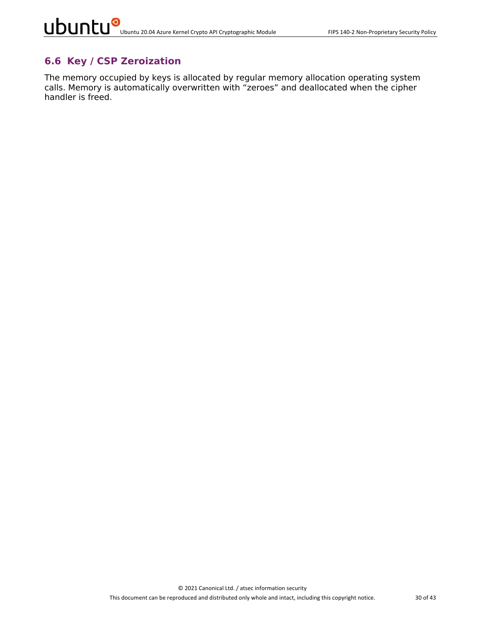#### **6.6 Key / CSP Zeroization**

The memory occupied by keys is allocated by regular memory allocation operating system calls. Memory is automatically overwritten with "zeroes" and deallocated when the cipher handler is freed.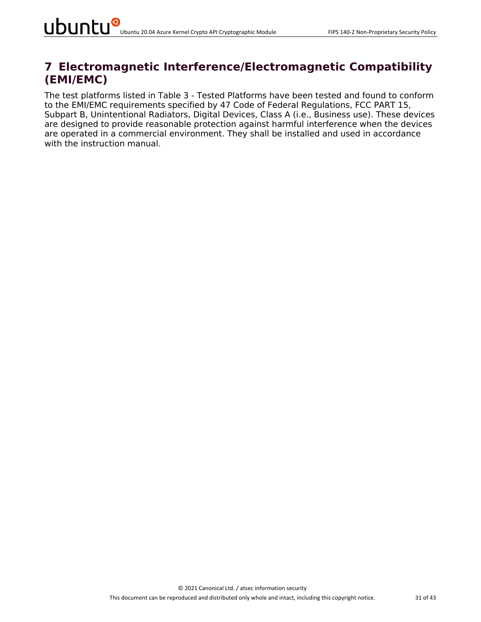### **7 Electromagnetic Interference/Electromagnetic Compatibility (EMI/EMC)**

The test platforms listed in Table 3 - Tested Platforms have been tested and found to conform to the EMI/EMC requirements specified by 47 Code of Federal Regulations, FCC PART 15, Subpart B, Unintentional Radiators, Digital Devices, Class A (i.e., Business use). These devices are designed to provide reasonable protection against harmful interference when the devices are operated in a commercial environment. They shall be installed and used in accordance with the instruction manual.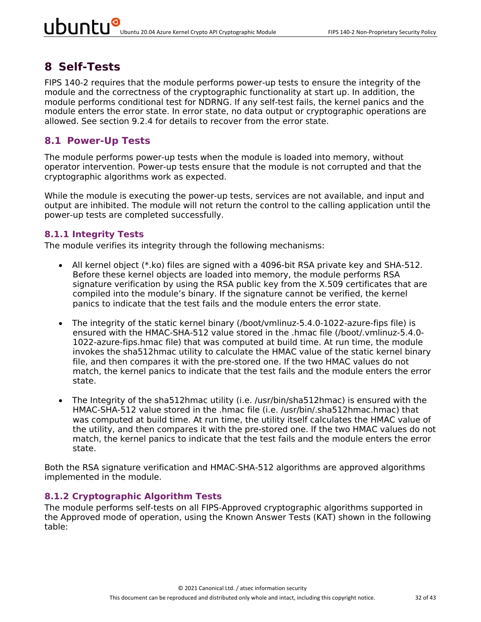# **8 Self-Tests**

FIPS 140-2 requires that the module performs power-up tests to ensure the integrity of the module and the correctness of the cryptographic functionality at start up. In addition, the module performs conditional test for NDRNG. If any self-test fails, the kernel panics and the module enters the error state. In error state, no data output or cryptographic operations are allowed. See section 9.2.4 for details to recover from the error state.

### **8.1 Power-Up Tests**

The module performs power-up tests when the module is loaded into memory, without operator intervention. Power-up tests ensure that the module is not corrupted and that the cryptographic algorithms work as expected.

While the module is executing the power-up tests, services are not available, and input and output are inhibited. The module will not return the control to the calling application until the power-up tests are completed successfully.

#### **8.1.1 Integrity Tests**

The module verifies its integrity through the following mechanisms:

- All kernel object (\*.ko) files are signed with a 4096-bit RSA private key and SHA-512. Before these kernel objects are loaded into memory, the module performs RSA signature verification by using the RSA public key from the X.509 certificates that are compiled into the module's binary. If the signature cannot be verified, the kernel panics to indicate that the test fails and the module enters the error state.
- The integrity of the static kernel binary (/boot/vmlinuz-5.4.0-1022-azure-fips file) is ensured with the HMAC-SHA-512 value stored in the .hmac file (/boot/.vmlinuz-5.4.0- 1022-azure-fips.hmac file) that was computed at build time. At run time, the module invokes the sha512hmac utility to calculate the HMAC value of the static kernel binary file, and then compares it with the pre-stored one. If the two HMAC values do not match, the kernel panics to indicate that the test fails and the module enters the error state.
- The Integrity of the sha512hmac utility (i.e. /usr/bin/sha512hmac) is ensured with the HMAC-SHA-512 value stored in the .hmac file (i.e. /usr/bin/.sha512hmac.hmac) that was computed at build time. At run time, the utility itself calculates the HMAC value of the utility, and then compares it with the pre-stored one. If the two HMAC values do not match, the kernel panics to indicate that the test fails and the module enters the error state.

Both the RSA signature verification and HMAC-SHA-512 algorithms are approved algorithms implemented in the module.

#### **8.1.2 Cryptographic Algorithm Tests**

The module performs self-tests on all FIPS-Approved cryptographic algorithms supported in the Approved mode of operation, using the Known Answer Tests (KAT) shown in the following table: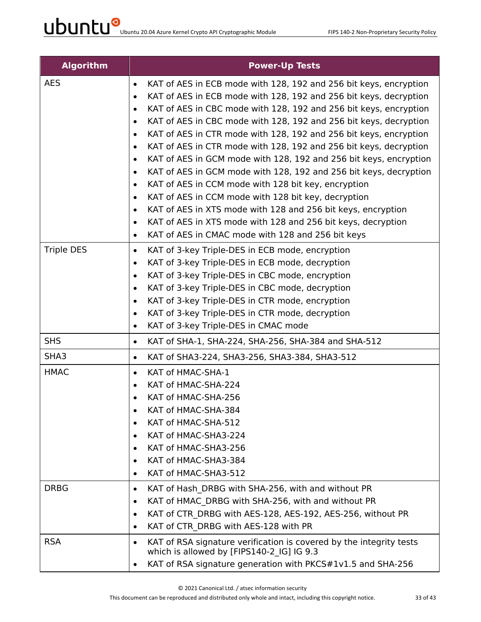| <b>Algorithm</b>   | <b>Power-Up Tests</b>                                                                                                 |
|--------------------|-----------------------------------------------------------------------------------------------------------------------|
| <b>AES</b>         | KAT of AES in ECB mode with 128, 192 and 256 bit keys, encryption<br>$\bullet$                                        |
|                    | KAT of AES in ECB mode with 128, 192 and 256 bit keys, decryption<br>$\bullet$                                        |
|                    | KAT of AES in CBC mode with 128, 192 and 256 bit keys, encryption<br>$\bullet$                                        |
|                    | KAT of AES in CBC mode with 128, 192 and 256 bit keys, decryption<br>$\bullet$                                        |
|                    | KAT of AES in CTR mode with 128, 192 and 256 bit keys, encryption<br>$\bullet$                                        |
|                    | KAT of AES in CTR mode with 128, 192 and 256 bit keys, decryption<br>$\bullet$                                        |
|                    | KAT of AES in GCM mode with 128, 192 and 256 bit keys, encryption<br>$\bullet$                                        |
|                    | KAT of AES in GCM mode with 128, 192 and 256 bit keys, decryption<br>$\bullet$                                        |
|                    | KAT of AES in CCM mode with 128 bit key, encryption<br>$\bullet$                                                      |
|                    | KAT of AES in CCM mode with 128 bit key, decryption<br>$\bullet$                                                      |
|                    | KAT of AES in XTS mode with 128 and 256 bit keys, encryption<br>$\bullet$                                             |
|                    | KAT of AES in XTS mode with 128 and 256 bit keys, decryption<br>$\bullet$                                             |
|                    | KAT of AES in CMAC mode with 128 and 256 bit keys<br>$\bullet$                                                        |
| <b>Triple DES</b>  | KAT of 3-key Triple-DES in ECB mode, encryption<br>$\bullet$                                                          |
|                    | KAT of 3-key Triple-DES in ECB mode, decryption<br>$\bullet$                                                          |
|                    | KAT of 3-key Triple-DES in CBC mode, encryption<br>$\bullet$                                                          |
|                    | KAT of 3-key Triple-DES in CBC mode, decryption<br>$\bullet$                                                          |
|                    | KAT of 3-key Triple-DES in CTR mode, encryption<br>$\bullet$                                                          |
|                    | KAT of 3-key Triple-DES in CTR mode, decryption<br>$\bullet$<br>KAT of 3-key Triple-DES in CMAC mode                  |
|                    | $\bullet$                                                                                                             |
| <b>SHS</b><br>SHA3 | KAT of SHA-1, SHA-224, SHA-256, SHA-384 and SHA-512<br>$\bullet$                                                      |
|                    | KAT of SHA3-224, SHA3-256, SHA3-384, SHA3-512<br>$\bullet$                                                            |
| <b>HMAC</b>        | KAT of HMAC-SHA-1<br>$\bullet$                                                                                        |
|                    | KAT of HMAC-SHA-224<br>$\bullet$                                                                                      |
|                    | KAT of HMAC-SHA-256<br>$\bullet$<br>KAT of HMAC-SHA-384                                                               |
|                    | $\bullet$<br>KAT of HMAC-SHA-512<br>$\bullet$                                                                         |
|                    | KAT of HMAC-SHA3-224<br>$\bullet$                                                                                     |
|                    | KAT of HMAC-SHA3-256<br>٠                                                                                             |
|                    | KAT of HMAC-SHA3-384<br>٠                                                                                             |
|                    | KAT of HMAC-SHA3-512<br>$\bullet$                                                                                     |
| <b>DRBG</b>        | KAT of Hash DRBG with SHA-256, with and without PR<br>$\bullet$                                                       |
|                    | KAT of HMAC DRBG with SHA-256, with and without PR<br>$\bullet$                                                       |
|                    | KAT of CTR DRBG with AES-128, AES-192, AES-256, without PR<br>$\bullet$                                               |
|                    | KAT of CTR DRBG with AES-128 with PR<br>$\bullet$                                                                     |
| <b>RSA</b>         | KAT of RSA signature verification is covered by the integrity tests<br>٠<br>which is allowed by [FIPS140-2_IG] IG 9.3 |
|                    | KAT of RSA signature generation with PKCS#1v1.5 and SHA-256                                                           |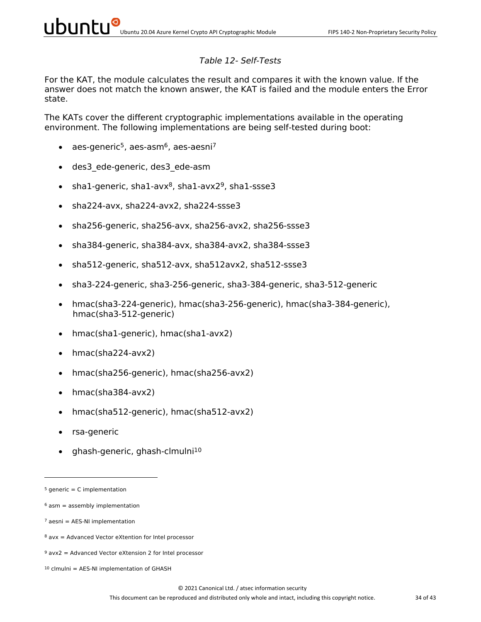#### *Table 12- Self-Tests*

For the KAT, the module calculates the result and compares it with the known value. If the answer does not match the known answer, the KAT is failed and the module enters the Error state.

The KATs cover the different cryptographic implementations available in the operating environment. The following implementations are being self-tested during boot:

- aes-generic<sup>5</sup>, aes-asm<sup>6</sup>, aes-aesni<sup>7</sup>
- des3\_ede-generic, des3\_ede-asm
- sha1-generic, sha1-avx $8$ , sha1-avx $2^9$ , sha1-ssse3
- sha224-avx, sha224-avx2, sha224-ssse3
- sha256-generic, sha256-avx, sha256-avx2, sha256-ssse3
- sha384-generic, sha384-avx, sha384-avx2, sha384-ssse3
- sha512-generic, sha512-avx, sha512avx2, sha512-ssse3
- sha3-224-generic, sha3-256-generic, sha3-384-generic, sha3-512-generic
- hmac(sha3-224-generic), hmac(sha3-256-generic), hmac(sha3-384-generic), hmac(sha3-512-generic)
- hmac(sha1-generic), hmac(sha1-avx2)
- hmac(sha224-avx2)
- hmac(sha256-generic), hmac(sha256-avx2)
- hmac(sha384-avx2)
- hmac(sha512-generic), hmac(sha512-avx2)
- rsa-generic
- ghash-generic, ghash-clmulni10

 $5$  generic = C implementation

 $6$  asm = assembly implementation

 $7$  aesni = AES-NI implementation

 $8$  avx = Advanced Vector eXtention for Intel processor

 $9$  avx2 = Advanced Vector eXtension 2 for Intel processor

 $10$  clmulni = AES-NI implementation of GHASH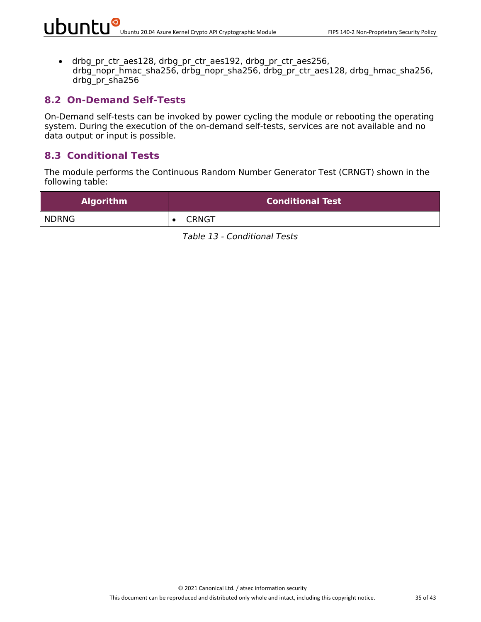• drbg pr\_ctr\_aes128, drbg\_pr\_ctr\_aes192, drbg\_pr\_ctr\_aes256, drbg\_nopr\_hmac\_sha256, drbg\_nopr\_sha256, drbg\_pr\_ctr\_aes128, drbg\_hmac\_sha256, drbg\_pr\_sha256

#### **8.2 On-Demand Self-Tests**

On-Demand self-tests can be invoked by power cycling the module or rebooting the operating system. During the execution of the on-demand self-tests, services are not available and no data output or input is possible.

#### **8.3 Conditional Tests**

The module performs the Continuous Random Number Generator Test (CRNGT) shown in the following table:

| <b>Algorithm</b> | <b>Conditional Test</b> |
|------------------|-------------------------|
| <b>NDRNG</b>     | <b>CRNGT</b>            |

*Table 13 - Conditional Tests*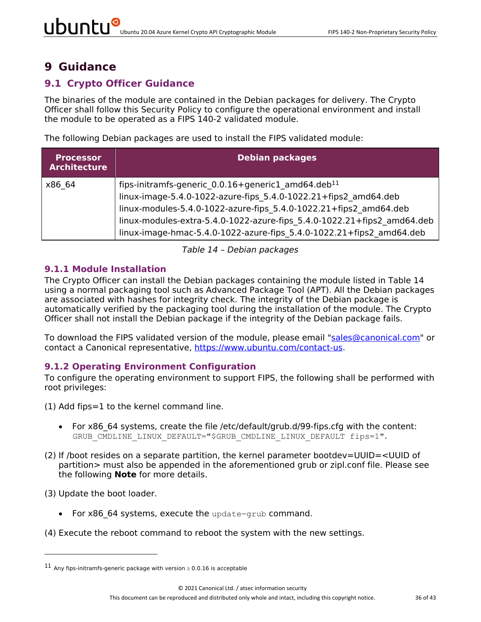### **9 Guidance**

#### **9.1 Crypto Officer Guidance**

The binaries of the module are contained in the Debian packages for delivery. The Crypto Officer shall follow this Security Policy to configure the operational environment and install the module to be operated as a FIPS 140-2 validated module.

The following Debian packages are used to install the FIPS validated module:

| <b>Processor</b><br><b>Architecture</b> | <b>Debian packages</b>                                                                                                                                                                                                                                                                                                                                    |
|-----------------------------------------|-----------------------------------------------------------------------------------------------------------------------------------------------------------------------------------------------------------------------------------------------------------------------------------------------------------------------------------------------------------|
| x86 64                                  | fips-initramfs-generic 0.0.16+generic1 amd64.deb <sup>11</sup><br>linux-image-5.4.0-1022-azure-fips 5.4.0-1022.21+fips2 amd64.deb<br>linux-modules-5.4.0-1022-azure-fips 5.4.0-1022.21+fips2 amd64.deb<br>linux-modules-extra-5.4.0-1022-azure-fips 5.4.0-1022.21+fips2 amd64.deb<br>linux-image-hmac-5.4.0-1022-azure-fips 5.4.0-1022.21+fips2 amd64.deb |

*Table 14 – Debian packages*

#### **9.1.1 Module Installation**

The Crypto Officer can install the Debian packages containing the module listed in Table 14 using a normal packaging tool such as Advanced Package Tool (APT). All the Debian packages are associated with hashes for integrity check. The integrity of the Debian package is automatically verified by the packaging tool during the installation of the module. The Crypto Officer shall not install the Debian package if the integrity of the Debian package fails.

To download the FIPS validated version of the module, please email "sales@canonical.com" or contact a Canonical representative, https://www.ubuntu.com/contact-us.

#### **9.1.2 Operating Environment Configuration**

To configure the operating environment to support FIPS, the following shall be performed with root privileges:

- (1) Add fips=1 to the kernel command line.
	- For x86 64 systems, create the file /etc/default/grub.d/99-fips.cfg with the content: GRUB CMDLINE LINUX DEFAULT="\$GRUB CMDLINE LINUX DEFAULT fips=1".
- (2) If /boot resides on a separate partition, the kernel parameter bootdev=UUID=<UUID of partition> must also be appended in the aforementioned grub or zipl.conf file. Please see the following **Note** for more details.

(3) Update the boot loader.

- For x86 64 systems, execute the update-grub command.
- (4) Execute the reboot command to reboot the system with the new settings.

<sup>&</sup>lt;sup>11</sup> Any fips-initramfs-generic package with version  $\geq 0.0.16$  is acceptable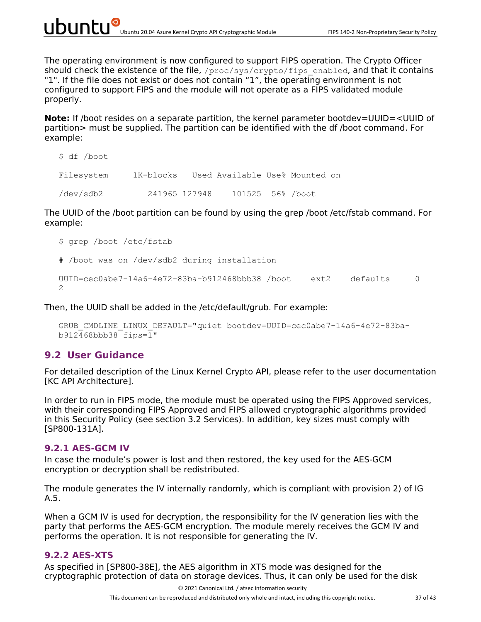The operating environment is now configured to support FIPS operation. The Crypto Officer should check the existence of the file,  $/$ proc $/$ sys $/$ crypto $/$ fips\_enabled, and that it contains "1". If the file does not exist or does not contain "1", the operating environment is not configured to support FIPS and the module will not operate as a FIPS validated module properly.

**Note:** If /boot resides on a separate partition, the kernel parameter bootdev=UUID=<UUID of partition> must be supplied. The partition can be identified with the df /boot command. For example:

```
$ df /boot
Filesystem 1K-blocks Used Available Use% Mounted on
/dev/sdb2 241965 127948 101525 56% /boot
```
The UUID of the /boot partition can be found by using the grep /boot /etc/fstab command. For example:

```
$ grep /boot /etc/fstab
# /boot was on /dev/sdb2 during installation
UUID = cec0abe7-14a6-4e72-83ba-b912468bbb38 /boot ext2 defaults 0
\mathcal{P}
```
Then, the UUID shall be added in the /etc/default/grub. For example:

```
GRUB_CMDLINE_LINUX_DEFAULT="quiet bootdev=UUID=cec0abe7-14a6-4e72-83ba-
b912468bbb38 fips=1"
```
#### **9.2 User Guidance**

For detailed description of the Linux Kernel Crypto API, please refer to the user documentation [KC API Architecture].

In order to run in FIPS mode, the module must be operated using the FIPS Approved services, with their corresponding FIPS Approved and FIPS allowed cryptographic algorithms provided in this Security Policy (see section 3.2 Services). In addition, key sizes must comply with [SP800-131A].

#### **9.2.1 AES-GCM IV**

In case the module's power is lost and then restored, the key used for the AES-GCM encryption or decryption shall be redistributed.

The module generates the IV internally randomly, which is compliant with provision 2) of IG A.5.

When a GCM IV is used for decryption, the responsibility for the IV generation lies with the party that performs the AES-GCM encryption. The module merely receives the GCM IV and performs the operation. It is not responsible for generating the IV.

#### **9.2.2 AES-XTS**

As specified in [SP800-38E], the AES algorithm in XTS mode was designed for the cryptographic protection of data on storage devices. Thus, it can only be used for the disk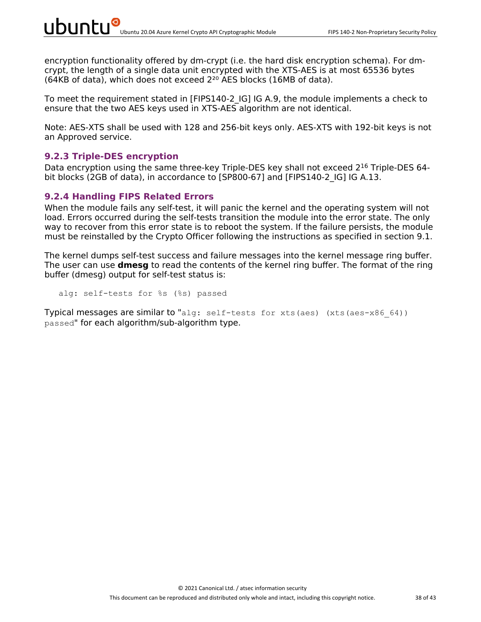encryption functionality offered by dm-crypt (i.e. the hard disk encryption schema). For dmcrypt, the length of a single data unit encrypted with the XTS-AES is at most 65536 bytes (64KB of data), which does not exceed  $2^{20}$  AES blocks (16MB of data).

To meet the requirement stated in [FIPS140-2\_IG] IG A.9, the module implements a check to ensure that the two AES keys used in XTS-AES algorithm are not identical.

Note: AES-XTS shall be used with 128 and 256-bit keys only. AES-XTS with 192-bit keys is not an Approved service.

#### **9.2.3 Triple-DES encryption**

Data encryption using the same three-key Triple-DES key shall not exceed 2<sup>16</sup> Triple-DES 64bit blocks (2GB of data), in accordance to [SP800-67] and [FIPS140-2 IG] IG A.13.

#### **9.2.4 Handling FIPS Related Errors**

When the module fails any self-test, it will panic the kernel and the operating system will not load. Errors occurred during the self-tests transition the module into the error state. The only way to recover from this error state is to reboot the system. If the failure persists, the module must be reinstalled by the Crypto Officer following the instructions as specified in section 9.1.

The kernel dumps self-test success and failure messages into the kernel message ring buffer. The user can use **dmesg** to read the contents of the kernel ring buffer. The format of the ring buffer (dmesg) output for self-test status is:

alg: self-tests for %s (%s) passed

Typical messages are similar to "alg: self-tests for xts(aes) (xts(aes-x86 64)) passed" for each algorithm/sub-algorithm type.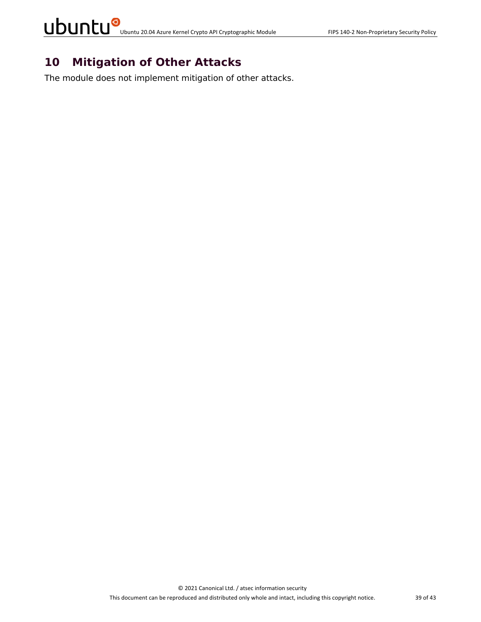## **10 Mitigation of Other Attacks**

The module does not implement mitigation of other attacks.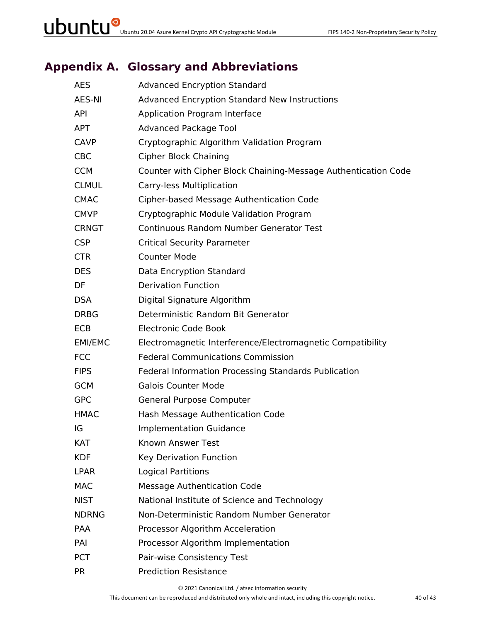### **Appendix A. Glossary and Abbreviations**

| <b>AES</b>   | <b>Advanced Encryption Standard</b>                            |
|--------------|----------------------------------------------------------------|
| AES-NI       | <b>Advanced Encryption Standard New Instructions</b>           |
| <b>API</b>   | Application Program Interface                                  |
| <b>APT</b>   | <b>Advanced Package Tool</b>                                   |
| <b>CAVP</b>  | Cryptographic Algorithm Validation Program                     |
| <b>CBC</b>   | <b>Cipher Block Chaining</b>                                   |
| <b>CCM</b>   | Counter with Cipher Block Chaining-Message Authentication Code |
| <b>CLMUL</b> | Carry-less Multiplication                                      |
| <b>CMAC</b>  | Cipher-based Message Authentication Code                       |
| <b>CMVP</b>  | Cryptographic Module Validation Program                        |
| <b>CRNGT</b> | <b>Continuous Random Number Generator Test</b>                 |
| <b>CSP</b>   | <b>Critical Security Parameter</b>                             |
| <b>CTR</b>   | <b>Counter Mode</b>                                            |
| <b>DES</b>   | Data Encryption Standard                                       |
| DF           | <b>Derivation Function</b>                                     |
| <b>DSA</b>   | Digital Signature Algorithm                                    |
| <b>DRBG</b>  | Deterministic Random Bit Generator                             |
| ECB          | <b>Electronic Code Book</b>                                    |
| EMI/EMC      | Electromagnetic Interference/Electromagnetic Compatibility     |
| <b>FCC</b>   | <b>Federal Communications Commission</b>                       |
| <b>FIPS</b>  | Federal Information Processing Standards Publication           |
| <b>GCM</b>   | <b>Galois Counter Mode</b>                                     |
| <b>GPC</b>   | General Purpose Computer                                       |
| <b>HMAC</b>  | Hash Message Authentication Code                               |
| IG           | <b>Implementation Guidance</b>                                 |
| KAT          | Known Answer Test                                              |
| <b>KDF</b>   | Key Derivation Function                                        |
| <b>LPAR</b>  | <b>Logical Partitions</b>                                      |
| <b>MAC</b>   | <b>Message Authentication Code</b>                             |
| <b>NIST</b>  | National Institute of Science and Technology                   |
| <b>NDRNG</b> | Non-Deterministic Random Number Generator                      |
| PAA          | Processor Algorithm Acceleration                               |
| PAI          | Processor Algorithm Implementation                             |
| <b>PCT</b>   | Pair-wise Consistency Test                                     |
| <b>PR</b>    | <b>Prediction Resistance</b>                                   |

© 2021 Canonical Ltd. / atsec information security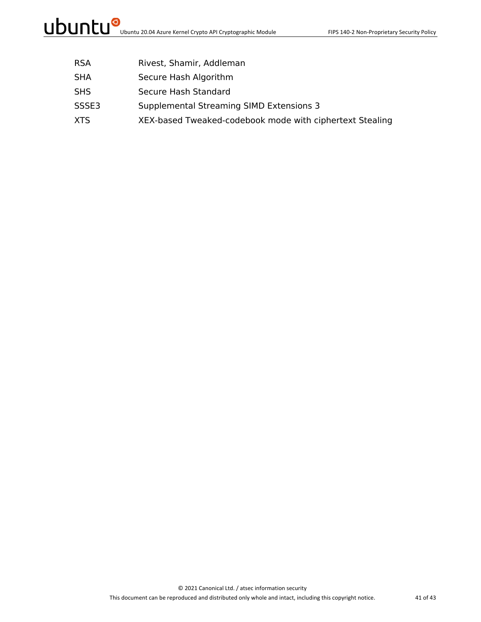- RSA Rivest, Shamir, Addleman
- SHA Secure Hash Algorithm
- SHS Secure Hash Standard
- SSSE3 Supplemental Streaming SIMD Extensions 3
- XTS XEX-based Tweaked-codebook mode with ciphertext Stealing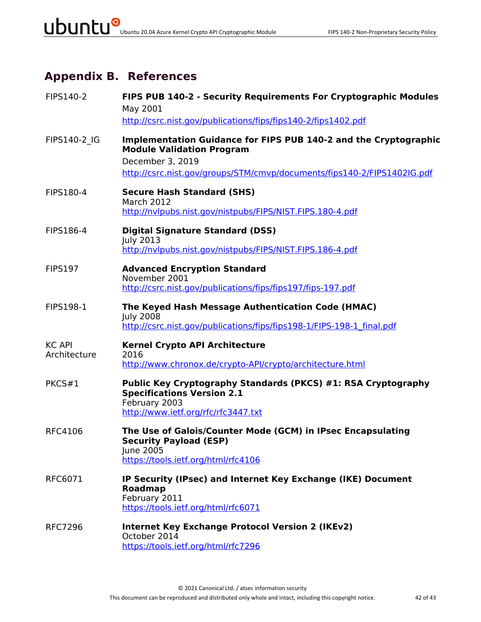### **Appendix B. References**

| FIPS140-2                     | FIPS PUB 140-2 - Security Requirements For Cryptographic Modules<br>May 2001<br>http://csrc.nist.gov/publications/fips/fips140-2/fips1402.pdf                                                       |
|-------------------------------|-----------------------------------------------------------------------------------------------------------------------------------------------------------------------------------------------------|
| FIPS140-2 IG                  | Implementation Guidance for FIPS PUB 140-2 and the Cryptographic<br><b>Module Validation Program</b><br>December 3, 2019<br>http://csrc.nist.gov/groups/STM/cmvp/documents/fips140-2/FIPS1402IG.pdf |
| FIPS180-4                     | <b>Secure Hash Standard (SHS)</b><br><b>March 2012</b><br>http://nvlpubs.nist.gov/nistpubs/FIPS/NIST.FIPS.180-4.pdf                                                                                 |
| FIPS186-4                     | <b>Digital Signature Standard (DSS)</b><br><b>July 2013</b><br>http://nvlpubs.nist.gov/nistpubs/FIPS/NIST.FIPS.186-4.pdf                                                                            |
| <b>FIPS197</b>                | <b>Advanced Encryption Standard</b><br>November 2001<br>http://csrc.nist.gov/publications/fips/fips197/fips-197.pdf                                                                                 |
| <b>FIPS198-1</b>              | The Keyed Hash Message Authentication Code (HMAC)<br><b>July 2008</b><br>http://csrc.nist.gov/publications/fips/fips198-1/FIPS-198-1 final.pdf                                                      |
| <b>KC API</b><br>Architecture | <b>Kernel Crypto API Architecture</b><br>2016<br>http://www.chronox.de/crypto-API/crypto/architecture.html                                                                                          |
| PKCS#1                        | Public Key Cryptography Standards (PKCS) #1: RSA Cryptography<br><b>Specifications Version 2.1</b><br>February 2003<br>http://www.ietf.org/rfc/rfc3447.txt                                          |
| <b>RFC4106</b>                | The Use of Galois/Counter Mode (GCM) in IPsec Encapsulating<br><b>Security Payload (ESP)</b><br>June 2005<br>https://tools.ietf.org/html/rfc4106                                                    |
| RFC6071                       | IP Security (IPsec) and Internet Key Exchange (IKE) Document<br><b>Roadmap</b><br>February 2011<br>https://tools.ietf.org/html/rfc6071                                                              |
| <b>RFC7296</b>                | <b>Internet Key Exchange Protocol Version 2 (IKEv2)</b><br>October 2014<br>https://tools.ietf.org/html/rfc7296                                                                                      |